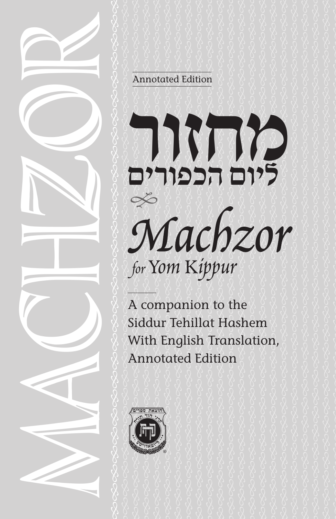

# מחזור ליום הכפורים Machzor for Yom Kippur

A companion to the Siddur Tehillat Hashem With English Translation, Annotated Edition



MACHZOR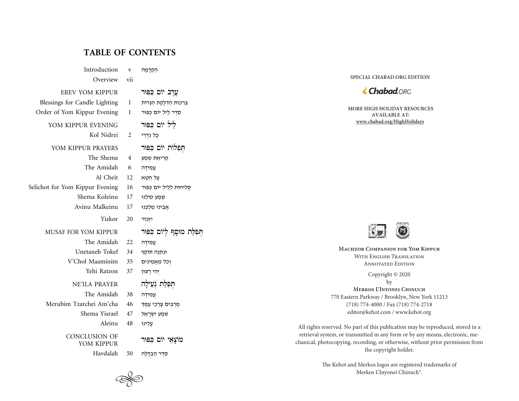## **TABLE OF CONTENTS**

| Introduction<br>$\mathbf{V}$                  | הַקְדָמָה                     |
|-----------------------------------------------|-------------------------------|
| Overview<br>vii                               |                               |
| <b>EREV YOM KIPPUR</b>                        | עֵרֵב יוֹם כִּפּוּר           |
| Blessings for Candle Lighting<br>$\mathbf{1}$ | בְּרְכוֹת הַדְלָקַת הַגֵּרוֹת |
| Order of Yom Kippur Evening<br>1              | סֵדֶר לֵיל יוֹם כִּפּוּר      |
| YOM KIPPUR EVENING                            | ליל יוֹם כפּוּר               |
| Kol Nidrei<br>$\overline{2}$                  | כָּל נִדְרֵי                  |
| YOM KIPPUR PRAYERS                            | תִּפְלוֹת יוֹם כִּפּוּר       |
| The Shema<br>4                                | קרִיאַת שְׁמַע                |
| The Amidah<br>6                               | עֲמִידָה                      |
| Al Cheit<br>12                                | על חֵטְא                      |
| Selichot for Yom Kippur Evening<br>16         | סליחות לליל יום כפור          |
| Shema Koleinu<br>17                           | שִׁמַע קוֹלֵנוּ               |
| Avinu Malkeinu<br>17                          | אָבִינוּ מַלְכֵּנוּ           |
| Yizkor<br>20<br>יִזְכּוֹר                     |                               |
| <b>MUSAF FOR YOM KIPPUR</b>                   | ת מוּסַף לִיוֹם כִּפּוּר      |
| The Amidah<br>22                              | עֲמִידָה                      |
| Unetaneh Tokef<br>34                          | וּנְתַנֶּה תּוֹקֵף            |
| V'Chol Maaminim<br>35                         | וְכֹל מַאֲמִינִים             |
| Yehi Ratzon<br>37                             | יְהִי רְצוֹן                  |
| NE'ILA PRAYER                                 | הִפְלַת נְעָילָה              |
| The Amidah<br>38                              | עֲמִידָה                      |
| Merubim Tzarchei Am'cha<br>46                 | מְרָבִּים צְרְכֵי עַמְדִּ     |
| Shema Yisrael<br>47                           | שמע יִשְׂרָאֵל                |
| Aleinu<br>48<br>עַלֵינוּ                      |                               |
| <b>CONCLUSION OF</b><br>YOM KIPPUR            | מוֹצַאֵי יוֹם כִּפּוּר        |
| Havdalah<br>50                                | סֵדֶר הַבְדָּלָה              |

הִפְלַּת מוּ

**EDITION SPECIAL CHABAD ORG EDITION** 

# *<u> Chabad.ORG</u>*

**MORE HIGH HOLIDAY RESOURCES :AT AVAILABLE** www.chabad.org/HighHolidays



**MACHZOR COMPANION FOR YOM KIPPUR** WITH ENGLISH TRANSLATION ANNOTATED EDITION

> Copyright © 2020 by

**MERKOS L'INYONEI CHINUCH** 770 Eastern Parkway / Brooklyn, New York 11213 (718) 774-4000 / Fax (718) 774-2718 editor@kehot.com / www.kehot.org

All rights reserved. No part of this publication may be reproduced, stored in a chanical, photocopying, recording, or otherwise, without prior permission from retrieval system, or transmitted in any form or by any means, electronic, methe copyright holder.

> The Kehot and Merkos logos are registered trademarks of Merkos L'Inyonei Chinuch®.

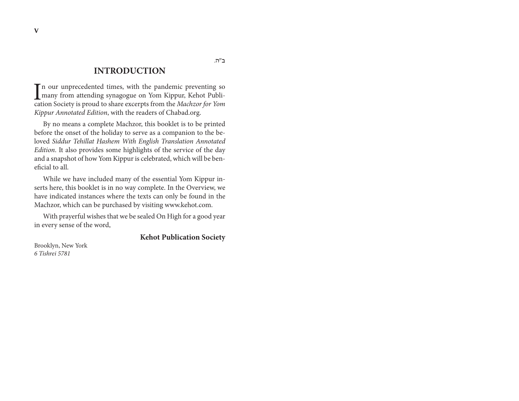## **INTRODUCTION**

I<sub>cat</sub>  $\mathbf{T}$ n our unprecedented times, with the pandemic preventing so cation Society is proud to share excerpts from the Machzor for Yom many from attending synagogue on Yom Kippur, Kehot Publi Kippur Annotated Edition, with the readers of Chabad.org.

By no means a complete Machzor, this booklet is to be printed loved Siddur Tehillat Hashem With English Translation Annotated before the onset of the holiday to serve as a companion to the be-Edition. It also provides some highlights of the service of the day and a snapshot of how Yom Kippur is celebrated, which will be ben-<br>eficial to all.

serts here, this booklet is in no way complete. In the Overview, we While we have included many of the essential Yom Kippur inhave indicated instances where the texts can only be found in the Machzor, which can be purchased by visiting www.kehot.com.

With prayerful wishes that we be sealed On High for a good year in every sense of the word,

### **Kehot Publication Society**

Brooklyn, New York *5781 Tishrei 6*

**V**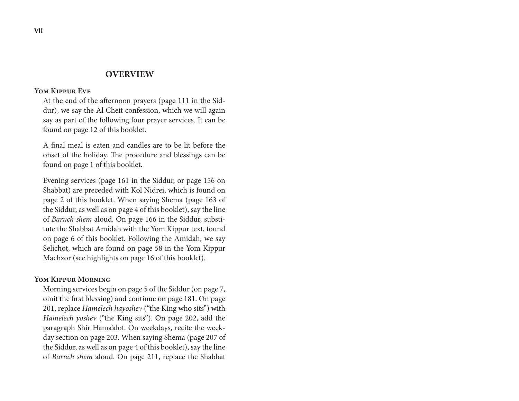## **OVERVIEW**

### YOM KIPPUR EVE

dur), we say the Al Cheit confession, which we will again At the end of the afternoon prayers (page 111 in the Sidsay as part of the following four prayer services. It can be found on page 12 of this booklet.

A final meal is eaten and candles are to be lit before the onset of the holiday. The procedure and blessings can be found on page 1 of this booklet.

Evening services (page 161 in the Siddur, or page 156 on Shabbat) are preceded with Kol Nidrei, which is found on page 2 of this booklet. When saying Shema (page 163 of the Siddur, as well as on page 4 of this booklet), say the line tute the Shabbat Amidah with the Yom Kippur text, found of Baruch shem aloud. On page 166 in the Siddur, substion page 6 of this booklet. Following the Amidah, we say Selichot, which are found on page 58 in the Yom Kippur Machzor (see highlights on page 16 of this booklet).

### YOM KIPPUR MORNING

Morning services begin on page 5 of the Siddur (on page 7, page 181. On page omit the first blessing) and continue on page 181. On page 201, replace Hamelech hayoshev ("the King who sits") with Hamelech yoshev ("the King sits"). On page 202, add the day section on page 203. When saying Shema (page 207 of paragraph Shir Hama'alot. On weekdays, recite the weekthe Siddur, as well as on page 4 of this booklet), say the line of Baruch shem aloud. On page 211, replace the Shabbat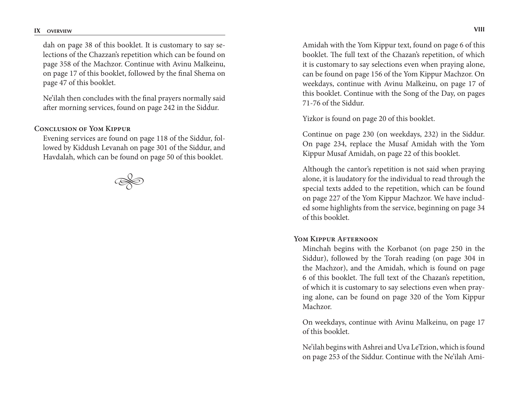#### **OVERVIEW IX**

lections of the Chazzan's repetition which can be found on dah on page 38 of this booklet. It is customary to say sepage 358 of the Machzor. Continue with Avinu Malkeinu, on page 17 of this booklet, followed by the final Shema on page 47 of this booklet.

Ne'ilah then concludes with the final prayers normally said after morning services, found on page 242 in the Siddur.

#### **CONCLUSION OF YOM KIPPUR**

Evening services are found on page 118 of the Siddur, followed by Kiddush Levanah on page 301 of the Siddur, and Havdalah, which can be found on page 50 of this booklet.



Amidah with the Yom Kippur text, found on page 6 of this booklet. The full text of the Chazan's repetition, of which it is customary to say selections even when praying alone, can be found on page 156 of the Yom Kippur Machzor. On weekdays, continue with Avinu Malkeinu, on page 17 of this booklet. Continue with the Song of the Day, on pages  $71-76$  of the Siddur.

Yizkor is found on page 20 of this booklet.

Continue on page 230 (on weekdays, 232) in the Siddur. On page 234, replace the Musaf Amidah with the Yom Kippur Musaf Amidah, on page 22 of this booklet.

Although the cantor's repetition is not said when praying alone, it is laudatory for the individual to read through the special texts added to the repetition, which can be found ed some highlights from the service, beginning on page 34 on page 227 of the Yom Kippur Machzor. We have includof this booklet.

#### YOM KIPPUR AFTERNOON

Minchah begins with the Korbanot (on page 250 in the Siddur), followed by the Torah reading (on page 304 in the Machzor), and the Amidah, which is found on page 6 of this booklet. The full text of the Chazan's repetition, ing alone, can be found on page 320 of the Yom Kippur of which it is customary to say selections even when pray-Machzor.

On weekdays, continue with Avinu Malkeinu, on page 17 of this booklet.

Ne'ilah begins with Ashrei and Uva LeTzion, which is found on page 253 of the Siddur. Continue with the Ne'ilah Ami-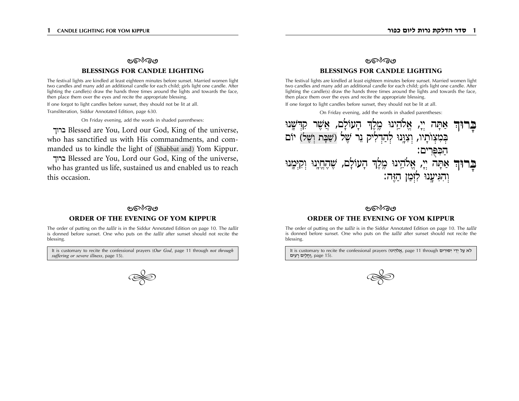#### ೲ಄಄ೲ

#### **BLESSINGS FOR CANDLE LIGHTING**

The festival lights are kindled at least eighteen minutes before sunset. Married women light two candles and many add an additional candle for each child; girls light one candle. After lighting the candle(s) draw the hands three times around the lights and towards the face, then place them over the eyes and recite the appropriate blessing.

If one forgot to light candles before sunset, they should not be lit at all.

Transliteration, Siddur Annotated Edition, page 630.

On Fridav evening, add the words in shaded parentheses:

ברוך Blessed are You, Lord our God, King of the universe, who has sanctified us with His commandments, and commanded us to kindle the light of (Shabbat and) Yom Kippur.

ברוך Blessed are You, Lord our God, King of the universe, who has granted us life, sustained us and enabled us to reach this occasion.

#### ೲ಄಄ೲ

#### **BLESSINGS FOR CANDLE LIGHTING**

The festival lights are kindled at least eighteen minutes before sunset. Married women light two candles and many add an additional candle for each child; girls light one candle. After lighting the candle(s) draw the hands three times around the lights and towards the face, then place them over the eyes and recite the appropriate blessing.

If one forgot to light candles before sunset, they should not be lit at all.

On Friday evening, add the words in shaded parentheses:



#### ORDER OF THE EVENING OF YOM KIPPUR

The order of putting on the *tallit* is in the Siddur Annotated Edition on page 10. The *tallit* is donned before sunset. One who puts on the *tallit* after sunset should not recite the blessing.

It is customary to recite the confessional prayers (Our God, page 11 through not through suffering or severe illness, page 15).



#### ೕ⁄⊛ೊು

#### ORDER OF THE EVENING OF YOM KIPPUR

The order of putting on the *tallit* is in the Siddur Annotated Edition on page 10. The *tallit* is donned before sunset. One who puts on the *tallit* after sunset should not recite the blessing.

לא עַל יִדֵי יִסוּרִים ht is customary to recite the confessional prayers (אֱלְהֵינוּ), page 11 through וְחֶלְיִם רָעִים), page 15).

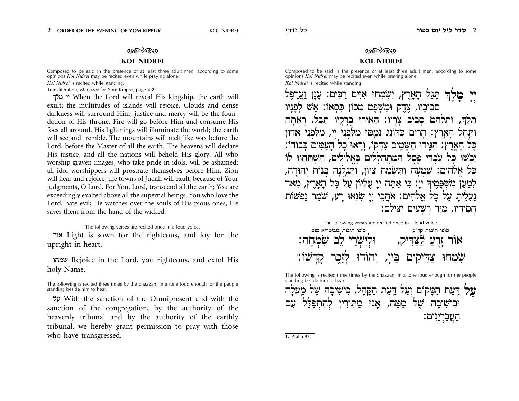#### ೲಀಀೲ

#### **KOL NIDREI**

Composed to be said in the presence of at least three adult men, according to some opinions Kol Nidrei may be recited even while praying alone. Kol Nidrei is recited while standing.

Transliteration, Machzor for Yom Kippur, page 439.

" מֹלך When the Lord will reveal His kingship, the earth will exult; the multitudes of islands will rejoice. Clouds and dense darkness will surround Him; justice and mercy will be the foundation of His throne. Fire will go before Him and consume His foes all around. His lightnings will illuminate the world; the earth will see and tremble. The mountains will melt like wax before the Lord, before the Master of all the earth. The heavens will declare His justice, and all the nations will behold His glory. All who worship graven images, who take pride in idols, will be ashamed; all idol worshippers will prostrate themselves before Him. Zion will hear and rejoice, the towns of Judah will exult, because of Your judgments, O Lord. For You, Lord, transcend all the earth; You are exceedingly exalted above all the supernal beings. You who love the Lord, hate evil; He watches over the souls of His pious ones, He saves them from the hand of the wicked.

The following verses are recited once in a loud voice.

אור Light is sown for the righteous, and joy for the upright in heart.

שמחו Rejoice in the Lord, you righteous, and extol His holy Name.<sup>1</sup>

The following is recited three times by the chazzan, in a tone loud enough for the people standing beside him to hear.

5y With the sanction of the Omnipresent and with the sanction of the congregation, by the authority of the heavenly tribunal and by the authority of the earthly tribunal, we hereby grant permission to pray with those who have transgressed.

#### ೲೢೢೲ

#### **KOL NIDREI**

Composed to be said in the presence of at least three adult men, according to some opinions Kol Nidrei may be recited even while praying alone. Kol Nidrei is recited while standing.

ענו האו WΧ כםאו: מב ראתה האירו מלפני נמסו כדונג D' הר האר 2 העמים כבודו: כל השמים צדקו. הגידו השתחוו לו ם. פ' המתהללי פסל ותגלנה בנות יהודה. הארץ, מאד אַתָּה יִיָ כי אֵלהִים: אֹהֲבֵי יִיָ שִׂנְאוּ רָע, שמר נפשות בל חֲסִידָיו, מִיַּד רֹשֵׁעִים יצילם:

|                              |                        |  | The following verses are recited once in a loud voice.  |  |
|------------------------------|------------------------|--|---------------------------------------------------------|--|
|                              | סופי תיבות בגמטריא טוב |  | סופי תיבות קר״ע                                         |  |
| ּוּלִיִּשְׁרֵי לֵב שִׂמְחָה: |                        |  | אוֹר זָרֱעַ לַצַּדִּיק,                                 |  |
|                              |                        |  | שִׂמְחוּ צַדִּיקִים בַּיְיָ, וְהוֹדוּ לְזֵבֶר קָדְשׁוֹ: |  |

The following is recited three times by the chazzan, in a tone loud enough for the people standing beside him to hear.

אנו מטה, כות

1. Psalm 97.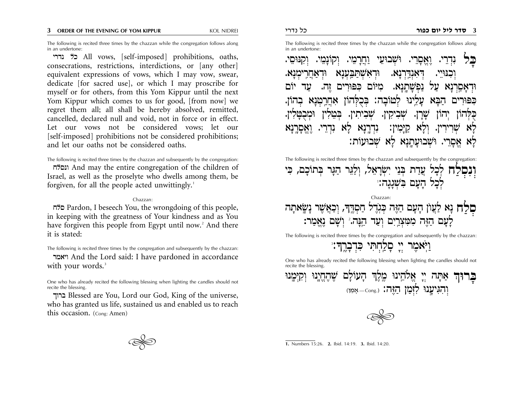The following is recited three times by the chazzan while the congregation follows along in an undertone:

ר בא All vows, [self-imposed] prohibitions, oaths, consecrations, restrictions, interdictions, or [any other] equivalent expressions of vows, which I may vow, swear, dedicate [for sacred use], or which I may proscribe for myself or for others, from this Yom Kippur until the next Yom Kippur which comes to us for good, [from now] we regret them all; all shall be hereby absolved, remitted, cancelled, declared null and void, not in force or in effect. Let our vows not be considered vows; let our [self-imposed] prohibitions not be considered prohibitions; and let our oaths not be considered oaths.

The following is recited three times by the chazzan and subsequently by the congregation: ונסלח And may the entire congregation of the children of Israel, as well as the proselyte who dwells among them, be forgiven, for all the people acted unwittingly.<sup>1</sup>

#### Chazzan:

האם Pardon, I beseech You, the wrongdoing of this people, in keeping with the greatness of Your kindness and as You have forgiven this people from Egypt until now.<sup>2</sup> And there it is stated:

The following is recited three times by the congregation and subsequently by the chazzan: ויאמר And the Lord said: I have pardoned in accordance with your words.<sup>3</sup>

One who has already recited the following blessing when lighting the candles should not recite the blessing.

ברוך Blessed are You, Lord our God, King of the universe, who has granted us life, sustained us and enabled us to reach this occasion. (Cong: Amen)

The following is recited three times by the chazzan while the congregation follows along in an undertone:

אחרטנא בכלהוז ובה: כטו הבא פפור יהו עתנא לא

The following is recited three times by the chazzan and subsequently by the congregation:

Chazzan: םלח נא לעון העם הזה כגדל לַעָם הַזֶּה מִמִּצְרֵיִם וְעָד הנה."

The following is recited three times by the congregation and subsequently by the chazzan:

וַיְאֹמֶר יְיָ סְקַחְתִּי כִּדְבָרֶךְ:

One who has already recited the following blessing when lighting the candles should not recite the blessing.

והגיענו לזמן הזה:  $_{\text{cong.}}$  אמן



1. Numbers 15:26. 2. Ibid. 14:19. 3. Ibid. 14:20.

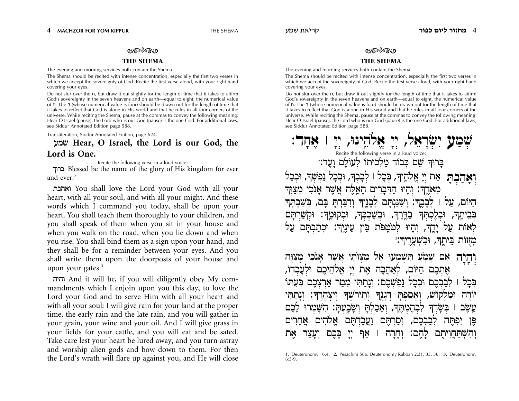#### ೕೲೋ

#### **THE SHEMA**

The evening and morning services both contain the Shema.

The Shema should be recited with intense concentration, especially the first two verses in which we accept the sovereignty of God. Recite the first verse aloud, with your right hand covering your eyes.

Do not slur over the  $n$ , but draw it out slightly for the length of time that it takes to affirm God's sovereignty in the seven heavens and on earth—equal to eight, the numerical value of  $\mathsf{D}$ . The  $\mathsf{I}$  (whose numerical value is four) should be drawn out for the length of time that it takes to reflect that God is alone in His world and that he rules in all four corners of the universe. While reciting the Shema, pause at the commas to convey the following meaning: Hear O Israel (pause), the Lord who is our God (pause) is the one God. For additional laws, see Siddur Annotated Edition page 588.

Transliteration, Siddur Annotated Edition, page 624.

## שמע Hear, O Israel, the Lord is our God, the Lord is One.<sup>1</sup>

Recite the following verse in a loud voice:

**Elessed** be the name of the glory of His kingdom for ever and ever. $^2$ 

You shall love the Lord your God with all your heart, with all your soul, and with all your might. And these words which I command you today, shall be upon your heart. You shall teach them thoroughly to your children, and you shall speak of them when you sit in your house and when you walk on the road, when you lie down and when you rise. You shall bind them as a sign upon your hand, and they shall be for a reminder between your eyes. And you shall write them upon the doorposts of your house and upon your gates. $3$ 

והיה And it will be, if you will diligently obey My commandments which I enjoin upon you this day, to love the Lord your God and to serve Him with all your heart and with all your soul: I will give rain for your land at the proper time, the early rain and the late rain, and you will gather in your grain, your wine and your oil. And I will give grass in your fields for your cattle, and you will eat and be sated. Take care lest your heart be lured away, and you turn astray and worship alien gods and bow down to them. For then the Lord's wrath will flare up against you, and He will close

#### ೲ಄಄ಀ

#### **THE SHEMA**

The evening and morning services both contain the Shema.

The Shema should be recited with intense concentration, especially the first two verses in which we accept the sovereignty of God. Recite the first verse aloud, with your right hand covering your eyes.

Do not slur over the  $n$ , but draw it out slightly for the length of time that it takes to affirm God's sovereignty in the seven heavens and on earth—equal to eight, the numerical value of  $\overline{D}$ . The  $\overline{J}$  (whose numerical value is four) should be drawn out for the length of time that it takes to reflect that God is alone in His world and that he rules in all four corners of the universe. While reciting the Shema, pause at the commas to convey the following meaning: Hear O Israel (pause), the Lord who is our God (pause) is the one God. For additional laws, see Siddur Annotated Edition page 588.

| אַחַד: |  | ֹשְׁמַעָ יִשְׂרָאֵל, יְיָ אֱלֹהִינוּ, יְיָ |  |
|--------|--|--------------------------------------------|--|
|        |  |                                            |  |

 $\cdot$ 

Recite the following verse in a loud voice:

 $\rightarrow$ 

היום, בי

את

<sup>1.</sup> Deuteronomy 6:4. 2. Pesachim 56a; Deuteronomy Rabbah 2:31, 35, 36. 3. Deuteronomy  $6:5-9.$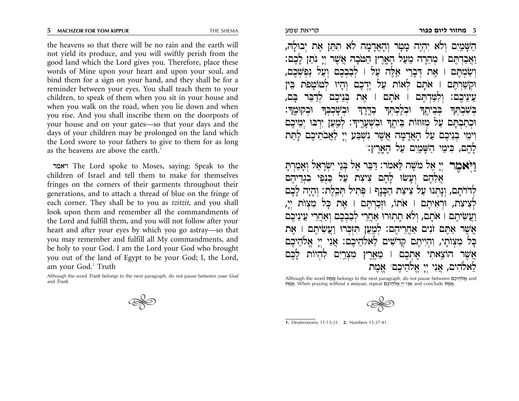5

the heavens so that there will be no rain and the earth will not yield its produce, and you will swiftly perish from the good land which the Lord gives you. Therefore, place these words of Mine upon your heart and upon your soul, and bind them for a sign on your hand, and they shall be for a reminder between your eyes. You shall teach them to your children, to speak of them when you sit in your house and when you walk on the road, when you lie down and when you rise. And you shall inscribe them on the doorposts of your house and on your gates so that your days and the days of your children may be prolonged on the land which the Lord swore to your fathers to give to them for as long as the heavens are above the earth.<sup>1</sup>

ויאמר The Lord spoke to Moses, saying: Speak to the children of Israel and tell them to make for themselves fringes on the corners of their garments throughout their generations, and to attach a thread of blue on the fringe of each corner. They shall be to you as tzitzit, and you shall look upon them and remember all the commandments of the Lord and fulfill them, and you will not follow after your heart and after your eyes by which you go astray-so that you may remember and fulfill all My commandments, and be holy to your God. I am the Lord your God who brought you out of the land of Egypt to be your God; I, the Lord, am your God.<sup>2</sup> Truth

Although the word Truth belongs to the next paragraph, do not pause between your God and Truth.



מעל הארץ מהרה אבדתם אלה את or על לאות אתם את אתם יהם' מזוּזוֹת ּהַאֲרֵץ:י מי' השמים

לדרתם, פתיל את אתו, ווכרתם וראיתם אתם, ולא תתורו אחרי ואחרי לבבכם 'תם ו תם: את D אחר

Although the word אמת belongs to the next paragraph, do not pause between אלהיכם אמת. When praying without a minyan, repeat אני יי אלהיכם. When praying without a minyan, repeat



1. Deuteronomy 11:13-21. 2. Numbers 15:37-41.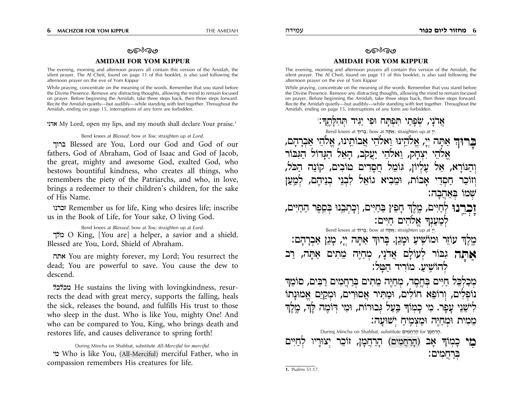#### ೲ಄಄ೲ

#### **AMIDAH FOR YOM KIPPUR**

The evening, morning and afternoon prayers all contain this version of the Amidah, the silent prayer. The Al Cheit, found on page 11 of this booklet, is also said following the afternoon prayer on the eve of Yom Kippur

While praying, concentrate on the meaning of the words. Remember that you stand before the Divine Presence. Remove any distracting thoughts, allowing the mind to remain focused on prayer. Before beginning the Amidah, take three steps back, then three steps forward. Recite the Amidah quietly—but audibly—while standing with feet together. Throughout the Amidah, ending on page 15, interruptions of any form are forbidden.

אדני My Lord, open my lips, and my mouth shall declare Your praise.<sup>1</sup>

#### Bend knees at *Blessed*; bow at *You*; straighten up at *Lord*.

**Elessed** are You, Lord our God and God of our fathers, God of Abraham, God of Isaac and God of Jacob, the great, mighty and awesome God, exalted God, who bestows bountiful kindness, who creates all things, who remembers the piety of the Patriarchs, and who, in love, brings a redeemer to their children's children, for the sake of His Name.

וכרנו Remember us for life, King who desires life; inscribe us in the Book of Life, for Your sake, O living God.

Bend knees at *Blessed*; bow at *You*; straighten up at *Lord*. מ $\tau$  O King, [You are] a helper, a savior and a shield. Blessed are You, Lord, Shield of Abraham.

אתה You are mighty forever, my Lord; You resurrect the dead; You are powerful to save. You cause the dew to descend.

He sustains the living with loving kindness, resurrects the dead with great mercy, supports the falling, heals the sick, releases the bound, and fulfills His trust to those who sleep in the dust. Who is like You, mighty One! And who can be compared to You, King, who brings death and restores life, and causes deliverance to spring forth!

During Mincha on Shabbat, substitute All-Merciful for merciful. מי Who is like You, (All-Merciful) merciful Father, who in compassion remembers His creatures for life.

#### ೲೕೢೲ

#### **AMIDAH FOR YOM KIPPUR**

The evening, morning and afternoon prayers all contain this version of the Amidah, the silent prayer. The Al Cheit, found on page 11 of this booklet, is also said following the afternoon prayer on the eve of Yom Kippur

While praying, concentrate on the meaning of the words. Remember that you stand before the Divine Presence. Remove any distracting thoughts, allowing the mind to remain focused on prayer. Before beginning the Amidah, take three steps back, then three steps forward. Recite the Amidah quietly—but audibly—while standing with feet together. Throughout the Amidah, ending on page 15, interruptions of any form are forbidden.

Bend knees at בְּרוּד; bow at אֶתֶּה; straighten up at  $\gamma$ . אלהי ומביא באהבה: אלהים Bend knees at בְּרוּד; bow at אֶתֶּה; straighten up at  $\gamma$ . אתה מתים מחיה udn מחיה מת בחםד. פא גבורות, ומי מי ומחיה ממית П During Mincha on Shabbat, substitute הרחמים for הרחמים)

1. Psalms  $51:17$ .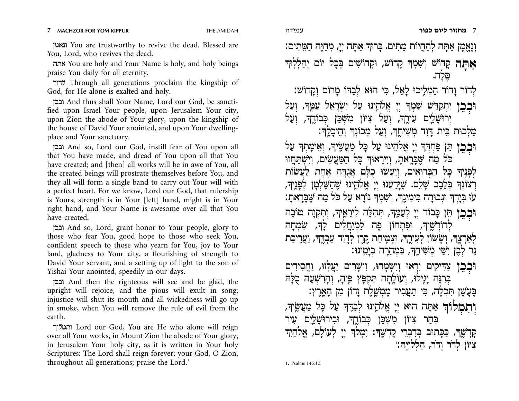**MACHZOR FOR YOM KIPPUR** 7

ונאמן You are trustworthy to revive the dead. Blessed are You, Lord, who revives the dead.

אתה You are holy and Your Name is holy, and holy beings praise You daily for all eternity.

דור לדור Through all generations proclaim the kingship of God, for He alone is exalted and holy.

And thus shall Your Name, Lord our God, be sanctified upon Israel Your people, upon Jerusalem Your city, upon Zion the abode of Your glory, upon the kingship of the house of David Your anointed, and upon Your dwellingplace and Your sanctuary.

ובכן And so, Lord our God, instill fear of You upon all that You have made, and dread of You upon all that You have created; and [then] all works will be in awe of You, all the created beings will prostrate themselves before You, and they all will form a single band to carry out Your will with a perfect heart. For we know, Lord our God, that rulership is Yours, strength is in Your [left] hand, might is in Your right hand, and Your Name is awesome over all that You have created.

ובכן And so, Lord, grant honor to Your people, glory to those who fear You, good hope to those who seek You, confident speech to those who yearn for You, joy to Your land, gladness to Your city, a flourishing of strength to David Your servant, and a setting up of light to the son of Yishai Your anointed, speedily in our days.

ובכן And then the righteous will see and be glad, the upright will rejoice, and the pious will exult in song; injustice will shut its mouth and all wickedness will go up in smoke, when You will remove the rule of evil from the earth.

Iord our God, You are He who alone will reign over all Your works, in Mount Zion the abode of Your glory, in Jerusalem Your holy city, as it is written in Your holy Scriptures: The Lord shall reign forever; your God, O Zion, throughout all generations; praise the Lord.<sup>1</sup>

מחיה המתים: אַתַּה יֵי, ברוד מתים. להחיות וקדושים أنزلار ושמד קדוש יום בכל קד ndN פֵלְה. כי הוא לבדו מרום וקדוש: לדור ודור המליכו לאל, אלהינוּ יתקד כבודד, משכו ציון 'נך והיכלד: משיחד, ועל מכו בית דוד אלהינוּ על כל מעשׂיךּ, ואימתך פחדד תן יבכז כל המעשים, וישתחוו שבראת, וייראוד בל אגדה אחת לפניד כלם הברואים.

יי אלהינוּ שהשלטו ענו ושמד נורא על כל מה שבראת: בימינד, יִיָ לִעַּמֱךָ, תִּהִלָּה לִירֵאֶיךָ, וִתִקְוָה טוֹבָה כבוד הז למיחלים לך, פה ופתחון לדורשיד, לדוד עבדד, וששון לעירד, וצמיחת קרן לארצד, מִשִׁיחֵךּ, בִּמְהֵרַה בְיַמֵּינוּ: לבן נר

וישמחו, ים וחםיד יראו ם' צדיק ברנה יגילו, ועולתה תקפץ פיה,

תכלה, כֵּי תַעֲבִיר מו מִמְשֵׁלֵת זַדוֹן בעשן הארץ: אלהינו  $\frac{1}{2}$ הוא אתה ותמלוד כבודד. וכירושלים בהר קַרְשֵׁךּ: בדברי קַדְשֱדּ, כַּכּתוּב ציון לדר ודר, הללויה:'

1. Psalms 146:10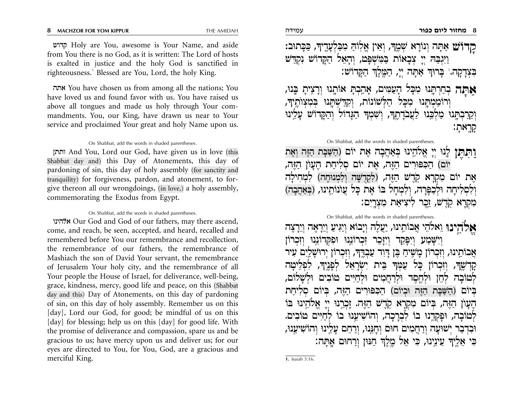קדוש Holy are You, awesome is Your Name, and aside from You there is no God, as it is written: The Lord of hosts is exalted in justice and the holy God is sanctified in righteousness.<sup>1</sup> Blessed are You, Lord, the holy King.

אתה You have chosen us from among all the nations; You have loved us and found favor with us. You have raised us above all tongues and made us holy through Your commandments. You, our King, have drawn us near to Your service and proclaimed Your great and holy Name upon us.

#### On Shabbat, add the words in shaded parentheses.

ותתן And You, Lord our God, have given us in love (this Shabbat day and) this Day of Atonements, this day of pardoning of sin, this day of holy assembly (for sanctity and tranquility) for forgiveness, pardon, and atonement, to forgive thereon all our wrongdoings, (in love,) a holy assembly, commemorating the Exodus from Egypt.

#### On Shabbat, add the words in shaded parentheses.

אלהינו Our God and God of our fathers, may there ascend, come, and reach, be seen, accepted, and heard, recalled and remembered before You our remembrance and recollection, the remembrance of our fathers, the remembrance of Mashiach the son of David Your servant, the remembrance of Jerusalem Your holy city, and the remembrance of all Your people the House of Israel, for deliverance, well-being, grace, kindness, mercy, good life and peace, on this (Shabbat day and this) Day of Atonements, on this day of pardoning of sin, on this day of holy assembly. Remember us on this [day], Lord our God, for good; be mindful of us on this [day] for blessing; help us on this [day] for good life. With the promise of deliverance and compassion, spare us and be gracious to us; have mercy upon us and deliver us; for our eyes are directed to You, for You, God, are a gracious and merciful King.

מבלעדיד, ככתוּב: קדוש אַתַּה וְנוֹרַא שְׁמֵךּ, וְאֵין אֵלוֹהַ יֵי צְבָאוֹת בַּמִשְׁפַּט, וְהַאֵל הַקַּדוֹשׁ נקדש ויגבה בְּצְרַקַה.' בַּרוּךְ אַתַּה יְיַ, הַמֱלֵךְ הַקַּרוֹשׁ: העמים, בחרתנוּ אהבת אותנו

וקדשתנו הלשונות. ורוממחנו במצותיד, הגדול והקדוש וקרבתנוּ קְרֵאתַ:

On Shabbat, add the words in shaded parentheses.

השבת הזה ואת ותחז ה את סליחת העון הזה, הכפורים הזה, את יום יום) הזה, (לִקְרִשָּׁה וְלִמְנוּחַה) فزيع את יום מקרא לסליחה ולכפרה, ולמחל בוֹ את כל עוֹנוֹתינוּ, (באהבה) מִקְרָא קְדֵשׁ, זֶכֶר לִיצִיאַת מִצְרֵיִם:

#### On Shabbat, add the words in shaded parentheses.

אלהינו ואלהי אבותינו, וזכרוז ופקדוננו וזכרוז בו אבותינו, וזכרוֿן П, מש בית עמד 73 וזכרון ולרחמים מוכים ולחיים לחן ולחםד לטובה הכפורים הזה, ביום םליחת (השׁבת הזה וּביוֹם) קרש הזה. זכרנו בו ۹۹ ביום מקרא הזה, בו לִבְרַכָה, וְהוֹשִׁיעֲנוּ בוֹ לחיים טוֹבים. לִטוֹבָה, וּפַקְדֵנוּ וּבִדְבַר יִשׁוּעָה וְרַחֲמִים חוּם וְחָנֵּנוּ, וְרַחֵם עָלֵינוּ וְהוֹשִׁיעֵנוּ, כִּי אֵלֵיךָ עֵינֵינוּ, כִּי אֵל מֶלֶךְ חַנּוּן וְרַחוּם אֱתָה:

1. Isaiah 5:16.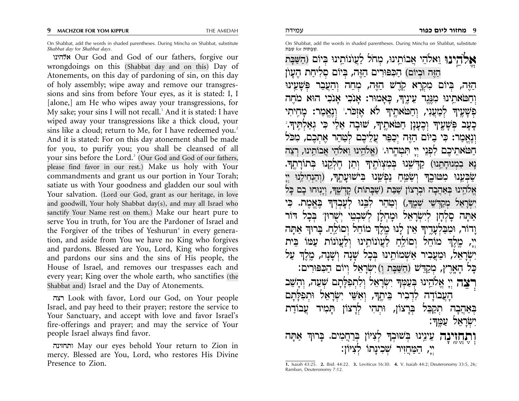On Shabbat, add the words in shaded parentheses. During Mincha on Shabbat, substitute Shabbat day for Shabbat days.

אלהינו Our God and God of our fathers, forgive our wrongdoings on this (Shabbat day and on this) Day of Atonements, on this day of pardoning of sin, on this day of holy assembly; wipe away and remove our transgressions and sins from before Your eyes, as it is stated: I, I [alone,] am He who wipes away your transgressions, for My sake; your sins I will not recall.<sup>1</sup> And it is stated: I have wiped away your transgressions like a thick cloud, your sins like a cloud; return to Me, for I have redeemed you.<sup>2</sup> And it is stated: For on this day atonement shall be made for you, to purify you; you shall be cleansed of all your sins before the Lord.<sup>3</sup> (Our God and God of our fathers, please find favor in our rest.) Make us holy with Your commandments and grant us our portion in Your Torah; satiate us with Your goodness and gladden our soul with Your salvation. (Lord our God, grant as our heritage, in love and goodwill, Your holy Shabbat day(s), and may all Israel who sanctify Your Name rest on them.) Make our heart pure to serve You in truth, for You are the Pardoner of Israel and the Forgiver of the tribes of Yeshurun<sup>4</sup> in every generation, and aside from You we have no King who forgives and pardons. Blessed are You, Lord, King who forgives and pardons our sins and the sins of His people, the House of Israel, and removes our trespasses each and every year; King over the whole earth, who sanctifies (the Shabbat and) Israel and the Day of Atonements.

רצה Look with favor, Lord our God, on Your people Israel, and pay heed to their prayer; restore the service to Your Sanctuary, and accept with love and favor Israel's fire-offerings and prayer; and may the service of Your people Israel always find favor.

ותחזינה May our eyes behold Your return to Zion in mercy. Blessed are You, Lord, who restores His Divine Presence to Zion.

On Shabbat, add the words in shaded parentheses. During Mincha on Shabbat, substitute שִׁבַּתוֹת for שָׁבַּת.

לעונותינו ביום נו ואלהי אבותינו, מחל הכפורים הזה, ביום סליחת העון הזה וביום) מחה הזה, מקרא קד ביום היה, אנכי אנכי הוא מחה יחטאתינו כאמור: אוכר.' X7 וחטאתיד שוּבה חטאתיד. ענז נאמו אתכם. D. יכפר ום הזה כי תמהרוּ.<sup>3</sup> (אלהינוּ ואלהי אבותינוּ, רצה לפני חטאתיכם בתורתד. במצו נא במנוּחתנוּ) (שבתות) שבת וינוחוּ בם אלהינוּ כי לבנו יטהר שראל' ומחלו מוחל וסולח. ברוד מלד אי לעונותינוּ ולעונות לה שנה בכל אשמותינוּ הכפו ם השבת בעמד לתפלתם ברצון, ותהי

אתה . . . . . .

<sup>1.</sup> Isaiah 43:25. 2. Ibid. 44:22. 3. Leviticus 16:30. 4. V. Isaiah 44:2; Deuteronomy 33:5, 26; Ramban, Deuteronomy 7:12.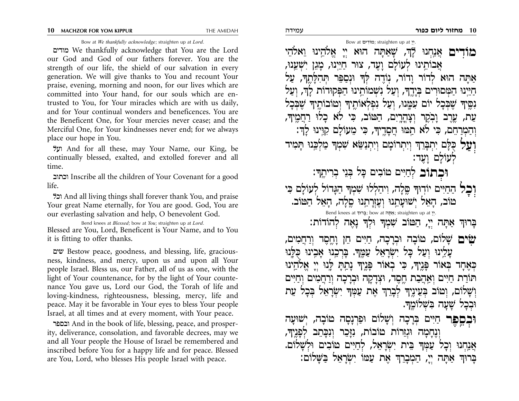Bow at We thankfully acknowledge; straighten up at Lord.

We thankfully acknowledge that You are the Lord our God and God of our fathers forever. You are the strength of our life, the shield of our salvation in every generation. We will give thanks to You and recount Your praise, evening, morning and noon, for our lives which are committed into Your hand, for our souls which are entrusted to You, for Your miracles which are with us daily, and for Your continual wonders and beneficences. You are the Beneficent One, for Your mercies never cease; and the Merciful One, for Your kindnesses never end; for we always place our hope in You.

ועל And for all these, may Your Name, our King, be continually blessed, exalted, and extolled forever and all time.

וכתוב Inscribe all the children of Your Covenant for a good life.

רב? And all living things shall forever thank You, and praise Your great Name eternally, for You are good. God, You are our everlasting salvation and help, O benevolent God.

Bend knees at *Blessed*; bow at *You*; straighten up at *Lord*. Blessed are You, Lord, Beneficent is Your Name, and to You it is fitting to offer thanks.

שים Bestow peace, goodness, and blessing, life, graciousness, kindness, and mercy, upon us and upon all Your people Israel. Bless us, our Father, all of us as one, with the light of Your countenance, for by the light of Your countenance You gave us, Lord our God, the Torah of life and loving-kindness, righteousness, blessing, mercy, life and peace. May it be favorable in Your eyes to bless Your people Israel, at all times and at every moment, with Your peace.

ובספר And in the book of life, blessing, peace, and prosperity, deliverance, consolation, and favorable decrees, may we and all Your people the House of Israel be remembered and inscribed before You for a happy life and for peace. Blessed are You, Lord, who blesses His people Israel with peace.

Bow at מודים; straighten up at  $\cdot$ .

שאתה הוא לַד, מודים אנחנו היינו, אבותינוּ לעולם ועד, צוּר מגו אתה הוא לדור ודור, נודה ונספר תהלתד, ী? וַעֲל נִשָׁמוֹתֵינוּ הַפְּקוּדוֹת לַדְּ, חיינוּ המסוּרים בידד, עִמֲנוּ, וְעַל נִפְלְאוֹתֵיךְ וְטוֹבוֹתֵיךְ יום וִצָּהֵרֵיִם, הַטּוֹב, כי לא כלו רחמיד, ובקר מעולם קוינו לא תמוּ חַסְדֵיךּ, כי כי תמרחם, ויתרומם ויתנשא תמיד תברד ועד: לעולם לחיים מוכים כתו: שמד הגרול וכל החיים יורוד ישועתנו ועזרתנו סלה, האל הטוב. טוב, האל Bend knees at יְבְּרוּךְ; bow at אֶתֶּה; straighten up at  $\ddot{?}$ ּהַטּוֹב שָׁמָךּ וּלְךָ נַאֲה לְהוֹדוֹת:  $\mathcal{L}^{\bullet}$ אַתַּה ברוד שים טובה וברכה. שלום. חיי באור כי פני באור כאחד פני  $\sqrt{7}$ תורת חיים ואהבת חסד, וצדקה ורחמים וברכה את לִבְרֵךְ בעי בשלומד. ושלום ברכה חיים ינסה וגזרות טובות, ונחמה נוכר לחיים טוֹבים פית אנחנוּ ישראל אַתַּה יֵי, הַמִּבָרֵךְ אֵת עַמּו ברוד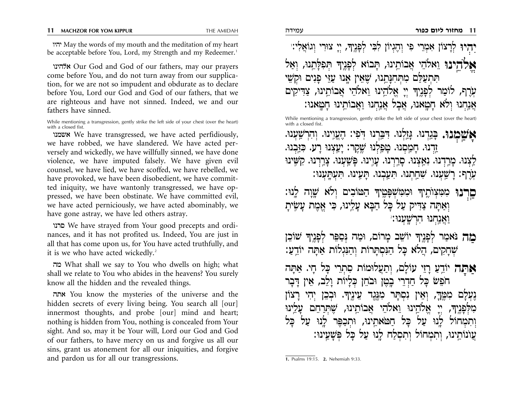יהיו May the words of my mouth and the meditation of my heart be acceptable before You, Lord, my Strength and my Redeemer.<sup>1</sup>

אלהינו Our God and God of our fathers, may our prayers come before You, and do not turn away from our supplication, for we are not so impudent and obdurate as to declare before You, Lord our God and God of our fathers, that we are righteous and have not sinned. Indeed, we and our fathers have sinned.

While mentioning a transgression, gently strike the left side of your chest (over the heart) with a closed fist.

**Example 19** We have transgressed, we have acted perfidiously, we have robbed, we have slandered. We have acted perversely and wickedly, we have willfully sinned, we have done violence, we have imputed falsely. We have given evil counsel, we have lied, we have scoffed, we have rebelled, we have provoked, we have been disobedient, we have committed iniquity, we have wantonly transgressed, we have oppressed, we have been obstinate. We have committed evil, we have acted perniciously, we have acted abominably, we have gone astray, we have led others astray.

סרנו We have strayed from Your good precepts and ordinances, and it has not profited us. Indeed, You are just in all that has come upon us, for You have acted truthfully, and it is we who have acted wickedly.<sup>2</sup>

מה What shall we say to You who dwells on high; what shall we relate to You who abides in the heavens? You surely know all the hidden and the revealed things.

אתה You know the mysteries of the universe and the hidden secrets of every living being. You search all [our] innermost thoughts, and probe [our] mind and heart; nothing is hidden from You, nothing is concealed from Your sight. And so, may it be Your will, Lord our God and God of our fathers, to have mercy on us and forgive us all our sins, grant us atonement for all our iniquities, and forgive and pardon us for all our transgressions.

| יָּהְיוּ לְרָצוֹן אִמְרֵי פִי וְהֶגְיוֹן לִבִּי לְפָּנֶיִךָּ, יְיָ צוּרִי וְגוֹאֲלִי:י       |  |
|----------------------------------------------------------------------------------------------|--|
| אֱלֹהֱינוּ וֵאלֹהֵי אֲבוֹתֵינוּ, תְּבוֹא לְפְנֶיְךָ תְּפִלָּתֵנוּ, וְאַל                     |  |
| תִּתְעַלַּם מִתְּחָנָּתֵנוּ, שֵׁאֵין אֲנוּ עַזֵּי פָנִים וּקְשֵׁי                            |  |
| עִרֵף, לוֹמַר לִפָּנֵיִךְ יִיָ אֱלֹהֵינוּ וֵאלֹהֵי אֲבוֹתֵינוּ, צַדִּיקִים                   |  |
| אֲנַחְנוּ וְלֹא חָמֶאנוּ, אֲבָל אֲנַחְנוּ וַאֲבוֹתִינוּ חָמֶאנוּ:                            |  |
| While mentioning a transgression, gently strike the left side of your chest (over the heart) |  |

with a closed fist. דבו טפל פיבנו. פשענו. נאצנוּ. סררנוּ. עוינוּ. שחתנו. תעבנו. תעינו. העתענו:

שוה הטוכים וממשפטיד כּל הַבַּא עָלֵינוּ, כי על ואתה צדיק ואנחנו הרשענו:

מה נאמר לִפְנֵיִךְ יוֹשֵׁב מַרוֹם, וּמַה נִסַפֵּר לִפְנֵיךְ שׁוֹכֵן שִׁחַקִים, הַלֹּא כַּל הַנִּסְתַּרוֹת וְהַנִּגְלוֹת אַתַּה יוֹדֵעָ: עולם. ותעלומות סתרי כל חי. אתה חדרי במן וּבֹחן 1'N כליות ולב, חפש נםתר ואיז מנגד אלהינו אבותינו, ואלהי חמאתינו. לנו תמחול כל עונותינו. ותמחול ותסלח לנו

1. Psalms 19:15. 2. Nehemiah 9:33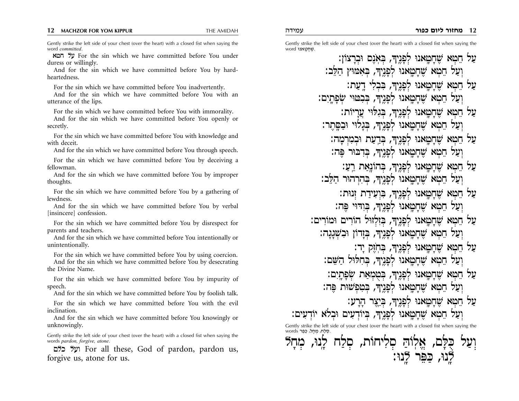12 מחזור ליום כפור

Gently strike the left side of your chest (over the heart) with a closed fist when saying the word committed.

שנא דום ל $\mathcal V$  For the sin which we have committed before You under duress or willingly.

And for the sin which we have committed before You by hardheartedness.

For the sin which we have committed before You inadvertently.

And for the sin which we have committed before You with an utterance of the lips.

For the sin which we have committed before You with immorality.

And for the sin which we have committed before You openly or secretly.

For the sin which we have committed before You with knowledge and with deceit.

And for the sin which we have committed before You through speech.

For the sin which we have committed before You by deceiving a fellowman.

And for the sin which we have committed before You by improper thoughts.

For the sin which we have committed before You by a gathering of lewdness.

And for the sin which we have committed before You by verbal [insincere] confession.

For the sin which we have committed before You by disrespect for parents and teachers.

And for the sin which we have committed before You intentionally or unintentionally.

For the sin which we have committed before You by using coercion. And for the sin which we have committed before You by desecrating the Divine Name.

For the sin which we have committed before You by impurity of speech.

And for the sin which we have committed before You by foolish talk.

For the sin which we have committed before You with the evil inclination.

And for the sin which we have committed before You knowingly or unknowingly.

Gently strike the left side of your chest (over the heart) with a closed fist when saying the words pardon, forgive, atone.

ועל כלם For all these, God of pardon, pardon us, forgive us, atone for us.

Gently strike the left side of your chest (over the heart) with a closed fist when saying the word שׁחַטאנו.

שחמאנוּ על שחטאנו בו על וּבפתר: טאנו על בו פּה∶ בדבור לפני אנו בהונאת רע: ומאנו על בהרהור טאנו לפני פּ⊓∶ בודוי לפני וטאנו D בז על על לפני על חמא בטפשות פה: ۱U לפני על חמא בִּיוֹדְעִים ִלְפָּנֵיךָ, שֲחַטֱאנוּ :עים Gently strike the left side of your chest (over the heart) with a closed fist when saying the .סלח, מחל, כפר words וֹהַ סִלְיחוֹת, סִלח

כפו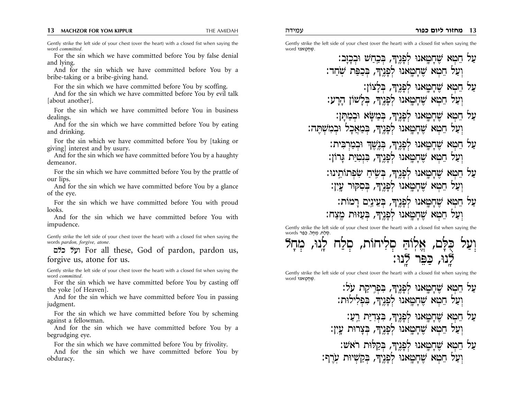13 מחזור ליום כפור

Gently strike the left side of your chest (over the heart) with a closed fist when saying the word committed.

For the sin which we have committed before You by false denial and lying.

And for the sin which we have committed before You by a bribe-taking or a bribe-giving hand.

For the sin which we have committed before You by scoffing.

And for the sin which we have committed before You by evil talk [about another].

For the sin which we have committed before You in business dealings.

And for the sin which we have committed before You by eating and drinking.

For the sin which we have committed before You by [taking or giving interest and by usury.

And for the sin which we have committed before You by a haughty demeanor.

For the sin which we have committed before You by the prattle of our lips.

And for the sin which we have committed before You by a glance of the eve.

For the sin which we have committed before You with proud looks.

And for the sin which we have committed before You with impudence.

Gently strike the left side of your chest (over the heart) with a closed fist when saying the words pardon, forgive, atone.

ועל כלם For all these, God of pardon, pardon us, forgive us, atone for us.

Gently strike the left side of your chest (over the heart) with a closed fist when saying the word committed.

For the sin which we have committed before You by casting off the yoke [of Heaven].

And for the sin which we have committed before You in passing judgment.

For the sin which we have committed before You by scheming against a fellowman.

And for the sin which we have committed before You by a begrudging eye.

For the sin which we have committed before You by frivolity.

And for the sin which we have committed before You by obduracy.

Gently strike the left side of your chest (over the heart) with a closed fist when saying the word שׁחַטאנו.

שחטאנו לפניד, בכפת חמא על לפניו טאנו במשׂא ובמתן: שחטאנו על רפניד, במאכל שחטאנו לפני שחטאנו על בנשד שחטאנו לפני חמא שחמאנו לפניד, בםקור בעינים רמוֹת: שחטאנו על רפניה. ד, בעזוּת מצח: קפני Gently strike the left side of your chest (over the heart) with a closed fist when saying the

שלח, מחל, כפר words אלוה םליחות, כפר לנו:

Gently strike the left side of your chest (over the heart) with a closed fist when saying the . שחטאנו word

> לפניד, בפריקת על: על שחטאנו לפניד, בפלילות: שׁחטאנוּ לִפְנֵיִךּ, בִּצְדִיַּת רֵעָ: על חטא שחטאנוּ לפניך, בצרוּת עין: חמא בקלות ראש: שחטאנו לפניד, ַלְפָּנֵיךָ, בְּקַשִׁיוּת עַרֵף: שחטאנו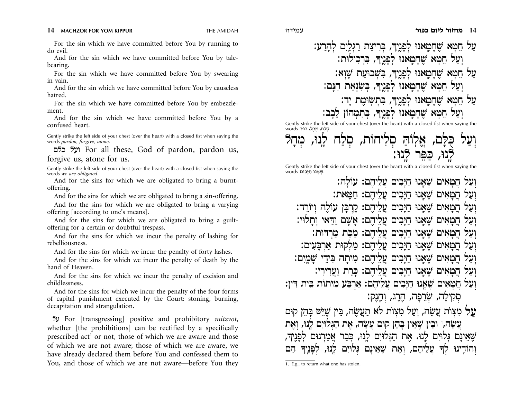For the sin which we have committed before You by running to do evil.

And for the sin which we have committed before You by talebearing.

For the sin which we have committed before You by swearing in vain.

And for the sin which we have committed before You by causeless hatred.

For the sin which we have committed before You by embezzlement.

And for the sin which we have committed before You by a confused heart.

Gently strike the left side of your chest (over the heart) with a closed fist when saying the words pardon, forgive, atone.

ועל כלם For all these, God of pardon, pardon us, forgive us, atone for us.

Gently strike the left side of your chest (over the heart) with a closed fist when saying the words we are obligated.

And for the sins for which we are obligated to bring a burntoffering.

And for the sins for which we are obligated to bring a sin-offering.

And for the sins for which we are obligated to bring a varying offering [according to one's means].

And for the sins for which we are obligated to bring a guiltoffering for a certain or doubtful trespass.

And for the sins for which we incur the penalty of lashing for rebelliousness.

And for the sins for which we incur the penalty of forty lashes.

And for the sins for which we incur the penalty of death by the hand of Heaven.

And for the sins for which we incur the penalty of excision and childlessness.

And for the sins for which we incur the penalty of the four forms of capital punishment executed by the Court: stoning, burning, decapitation and strangulation.

 $\forall y$  For [transgressing] positive and prohibitory *mitzvot*, whether [the prohibitions] can be rectified by a specifically prescribed act<sup>1</sup> or not, those of which we are aware and those of which we are not aware; those of which we are aware, we have already declared them before You and confessed them to You, and those of which we are not aware—before You they

ברכילות: שחטאנו לפניד, שחטאנו בשבוטת לפני על שו זמאנו הנם: על ד, בתמהוֹז ומאנו

Gently strike the left side of your chest (over the heart) with a closed fist when saying the .סלח, מחל, כּפֵר words

# םליחות, פפו

Gently strike the left side of your chest (over the heart) with a closed fist when saying the .שאנו חיבים words

שאנו שאנו אים שאנו ונו שאנו כרת ארבע מיתות בית דיו: ◘ ם' نتقر םקיקה, `פה, ת ואת קום בהן את את הגלוים כבו D'

1. E.g., to return what one has stolen.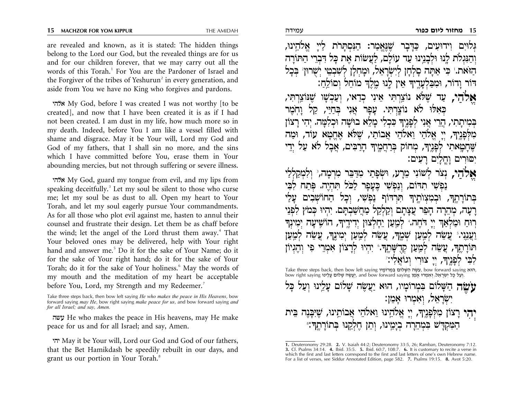are revealed and known, as it is stated: The hidden things belong to the Lord our God, but the revealed things are for us and for our children forever, that we may carry out all the words of this Torah.<sup>1</sup> For You are the Pardoner of Israel and the Forgiver of the tribes of Yeshurun<sup>2</sup> in every generation, and aside from You we have no King who forgives and pardons.

אלהי My God, before I was created I was not worthy [to be created], and now that I have been created it is as if I had not been created. I am dust in my life, how much more so in my death. Indeed, before You I am like a vessel filled with shame and disgrace. May it be Your will, Lord my God and God of my fathers, that I shall sin no more, and the sins which I have committed before You, erase them in Your abounding mercies, but not through suffering or severe illness.

אלהי My God, guard my tongue from evil, and my lips from speaking deceitfully.<sup>3</sup> Let my soul be silent to those who curse me; let my soul be as dust to all. Open my heart to Your Torah, and let my soul eagerly pursue Your commandments. As for all those who plot evil against me, hasten to annul their counsel and frustrate their design. Let them be as chaff before the wind; let the angel of the Lord thrust them away.<sup>4</sup> That Your beloved ones may be delivered, help with Your right hand and answer me.<sup>5</sup> Do it for the sake of Your Name; do it for the sake of Your right hand; do it for the sake of Your Torah; do it for the sake of Your holiness.<sup>6</sup> May the words of my mouth and the meditation of my heart be acceptable before You, Lord, my Strength and my Redeemer.<sup>7</sup>

y He who makes the peace in His heavens, may He make peace for us and for all Israel; and say, Amen.

יהי May it be Your will, Lord our God and God of our fathers, that the Bet Hamikdash be speedily rebuilt in our days, and grant us our portion in Your Torah.<sup>8</sup>

שות את כק אתה כי היאת.י םלחז מו ור, ומבלעד דור

٦x פאלוּ כא

מלא ככל שה יפנ עוֹד, וּמַה ארמא שלא אבותי, ואלהי אלהי הרבים, בִּרַחֲמֵי מחוק רעים: ים וחלים

פתח תהיה. נפש החושבים בתורתד, מרדו חם מהרה הפו יההה. יהיוּ קרצון וגואלי: צוּר

Take three steps back, then bow left saying היא סוטלום במרומיו, bow forward saying, bow right saying יָעֲשֶׂה שָׁלוֹם עָלִינוּ, and bow forward saying אָנָשׂה שַׁלוֹם אַלִּינוּ.

השלום במרומיו. הוא טישה ישראל, ואמרוּ אמו: אלהינוּ בימינו, במהרה

Take three steps back, then bow left saving He who makes the neace in His Heavens, bow forward saying *may He*, bow right saying *make peace for us*, and bow forward saying *and* for all Israel; and say, Amen.

<sup>1.</sup> Deuteronomy 29:28. 2. V. Isaiah 44:2: Deuteronomy 33:5. 26: Ramban. Deuteronomy 7:12. **3.** Cf. Psalms 34:14. **4.** Ibid. 35:5. **5.** Ibid. 60:7, 108:7. **6.** It is customary to recite a verse in which the first and last letters correspond to the first and last letters of one's own Hebrew name. For a list of verses, see Siddur Annotated Edition, page 582. 7. Psalms 19:15. 8. Avot 5:20.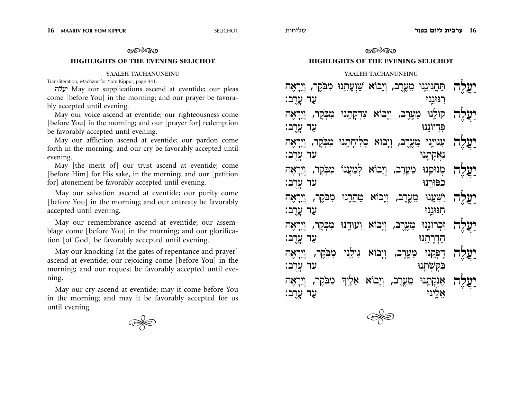סליחות

#### ೲೢೢೲ

#### **HIGHLIGHTS OF THE EVENING SELICHOT**

#### YAALEH TACHANUNEINU

Transliteration, Machzor for Yom Kippur, page 441.

יעלה May our supplications ascend at eventide; our pleas come [before You] in the morning; and our prayer be favorably accepted until evening.

May our voice ascend at eventide; our righteousness come [before You] in the morning; and our [prayer for] redemption be favorably accepted until evening.

May our affliction ascend at eventide; our pardon come forth in the morning; and our cry be favorably accepted until evening.

May [the merit of] our trust ascend at eventide; come [before Him] for His sake, in the morning; and our [petition] for] atonement be favorably accepted until evening.

May our salvation ascend at eventide; our purity come [before You] in the morning; and our entreaty be favorably accepted until evening.

May our remembrance ascend at eventide; our assemblage come [before You] in the morning; and our glorification [of God] be favorably accepted until evening.

May our knocking [at the gates of repentance and prayer] ascend at eventide; our rejoicing come [before You] in the morning; and our request be favorably accepted until evening.

May our cry ascend at eventide; may it come before You in the morning; and may it be favorably accepted for us until evening.

| ೲೕೢೲ                                                                                                     |         |
|----------------------------------------------------------------------------------------------------------|---------|
| HIGHLIGHTS OF THE EVENING SELICHOT                                                                       |         |
| YAALEH TACHANUNEINU                                                                                      |         |
| תַּחֲנוּנֵגוּ מֵעֶרֶב, וְיָבוֹא שַׁוְעָתֵנוּ מִבְקֶר, וְיֵרָאֶה<br>רנונגו<br>ַעַר עֱרֶב:                 | יִעֲלֶה |
| קוֹלֵנוּ מֵעֶרֶב, וְיָבוֹ <mark>א</mark> צִדְקָתֵנוּ מִבְּקֶר, וְיֵדָאֶה<br>פִּרִיוֹנֵנוּ<br>ַעַר עֳרֶב: | יִעֲלֶה |
| עִנּוּיֵנוּ מֵעֱרֶב, וְיָבוֹא סְלִיחָתֵנוּ מִבְּקֶר, וְיֵרָאֶה<br>ַעַר עֱרֶב:<br><u>נאקהנו</u>           | יִעֲלֶה |
| מְנוּםֵנוּ מֵעֱרֶב, וְיָבוֹא לְמַעֲנוֹ מִכְּקֶר, וְיֵרָאֶה<br>ַעַר עֳרָב<br>כִפּוּרֶנוּ                  | יִעֲלֶה |
| יִשְׁעֵנוּ מֵעֶרֶב, וְיָבוֹא טַהֲרֵנוּ מִבְקֶר, וְיֵרָאֶה<br>ַעַר עֱרֶב:<br>חנוננו                       | יִעֲלֶה |
| זִכְרוֹגֵנוּ מֵעֶרֶב, וְיָבוֹא וִעוּדֵנוּ מִבְקֶר, וְיֵרָאֶה<br>ַעַר עֱרֶב:<br>הַרָרְהֵנוּ               | יִעֲלֶה |
| דָפְקֵנוּ מֵעֱרֶב, וְיָבוֹא גִילֵנוּ מִבְּקֶר, וְיֵדָאֶה<br>ּעַר עֳרֵב:<br><u>בַּקָּשָׂהֵנוּ</u>         | יִעֲלֶה |
| אָנְקָתֵנוּ מֵעֱרֶב, וְיָבוֹא אֵלֶיךָ מִבְקֶר, וְיֵרָאֶה<br>אלינו<br>עַר עַרֵב:                          | יִעֲלֶה |



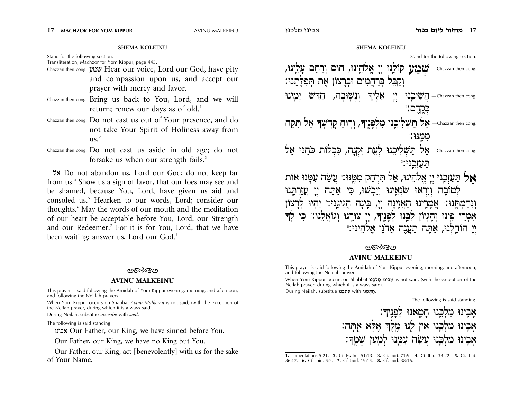#### **SHEMA KOLEINU**

Stand for the following section.

Transliteration, Machzor for Yom Kippur, page 443.

- Chazzan then cong: שמע Hear our voice, Lord our God, have pity and compassion upon us, and accept our prayer with mercy and favor.
- Chazzan then cong: Bring us back to You, Lord, and we will return; renew our days as of old.<sup>1</sup>
- Chazzan then cong: Do not cast us out of Your presence, and do not take Your Spirit of Holiness away from  $11S<sup>2</sup>$
- Chazzan then cong: Do not cast us aside in old age; do not forsake us when our strength fails.<sup>3</sup>

58 Do not abandon us, Lord our God; do not keep far from us.<sup>4</sup> Show us a sign of favor, that our foes may see and be shamed, because You, Lord, have given us aid and consoled us.<sup>5</sup> Hearken to our words, Lord; consider our thoughts.<sup>6</sup> May the words of our mouth and the meditation of our heart be acceptable before You, Lord, our Strength and our Redeemer.<sup>7</sup> For it is for You, Lord, that we have been waiting; answer us, Lord our God.<sup>8</sup>

#### ೲ಄಄ೲ

#### **AVINU MALKEINU**

This prayer is said following the Amidah of Yom Kippur evening, morning, and afternoon, and following the Ne'ilah prayers.

When Yom Kippur occurs on Shabbat Avinu Malkeinu is not said, (with the exception of the Neilah prayer, during which it is always said).

During Neilah, substitue inscribe with seal.

The following is said standing.

אבינו Our Father, our King, we have sinned before You.

Our Father, our King, we have no King but You.

Our Father, our King, act [benevolently] with us for the sake of Your Name.

| <b>SHEMA KOLEINU</b>                                                                                                                                                                                                                                                                                                                                                                  |
|---------------------------------------------------------------------------------------------------------------------------------------------------------------------------------------------------------------------------------------------------------------------------------------------------------------------------------------------------------------------------------------|
| Stand for the following section.                                                                                                                                                                                                                                                                                                                                                      |
| -Chazzan then cong. שְׁכַוֹע קוֹלֵנוּ יְיָ אֱלֹהֵינוּ, חוּם וְרַחֵם עָלֵינוּ,                                                                                                                                                                                                                                                                                                         |
| וִקַבֵּל בִּרְחֲמִים וּבִרְצוֹן אֵת תִּפְלָתֵנוּ:                                                                                                                                                                                                                                                                                                                                     |
| יִמֵינוּ יִיְ אֵלֶיךָ וַנָּשְׁוּבָה, חַדֵּשׁ יַמֵינוּ יִי אֵלְיִךְ וִנְשְׁוּבָה, חַדֵּשׁ יַמֵינוּ                                                                                                                                                                                                                                                                                     |
| כִּקְדֵם:'                                                                                                                                                                                                                                                                                                                                                                            |
| д — מַקַח — אַל תַּשָׁלִיכְנוּ מִלְפָּגֵיךָ, וִרְוּחַ קָדִשְׁךָ אַל תִּקַח                                                                                                                                                                                                                                                                                                            |
| מְמֵנוּ׃                                                                                                                                                                                                                                                                                                                                                                              |
| д — אל תַשָׁלִיכֵנוּ לְעֵת זִקְנָה, כִּכְלוֹת כֹּחֵנוּ אַל —Chazzan then cong.                                                                                                                                                                                                                                                                                                        |
| תּעובנו:                                                                                                                                                                                                                                                                                                                                                                              |
| אַל תַּעַזְבְנוּ יִיָ אֱלֹהֵינוּ, אַל תִּרְחַק מִמֵּנּוּ: עֵשֶׂה עִמֲנוּ אוֹת<br>לְטוֹבָה וְיִרְאוּ שׂנָאֵינוּ וְיֵבְשׁוּ, כִּי אַתָּה יְיָ עֲזַרְתָּנוּ<br>מְתֶנוּ׃ אֲמֶרִינוּ הַאֲזֶינָה יְיָ, בִּינָה הֲגִיגֵנוּ׃ יִהְיוּ לִרַצוֹן<br>אִמְרֵי פִינוּ וְהֶגְיוֹן לִבְנוּ לְפָנֶיִךָּ, יְיָ צוּרֵנוּ וְגוֹאֲלֵנוּ:׳ כִּי לִדְּ<br>יִי הוֹחֲלְנוּ, אֲתָּה תַעֲנֶה אֲדֹנֵי אֱלֹהֱינוּ: |

#### **AVINU MALKEINU**

This prayer is said following the Amidah of Yom Kippur evening, morning, and afternoon, and following the Ne'ilah prayers.

When Yom Kippur occurs on Shabbat אבינו מלכנו is not said, (with the exception of the Neilah prayer, during which it is always said).

During Neilah, substitue כַּתְבֵנוּ with יָחֲתְמֵנוּ

The following is said standing.

מלד אלא אתה: לנוּ

1. Lamentations 5:21. 2. Cf. Psalms 51:13. 3. Cf. Ibid. 71:9. 4. Cf. Ibid. 38:22. 5. Cf. Ibid. 86:17. 6. Cf. Ibid. 5:2. 7. Cf. Ibid. 19:15. 8. Cf. Ibid. 38:16.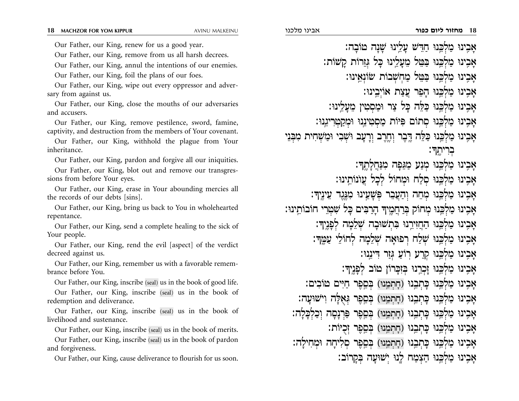אבינו מלכנו

Our Father, our King, renew for us a good year.

Our Father, our King, remove from us all harsh decrees.

Our Father, our King, annul the intentions of our enemies.

Our Father, our King, foil the plans of our foes.

Our Father, our King, wipe out every oppressor and adversary from against us.

Our Father, our King, close the mouths of our adversaries and accusers.

Our Father, our King, remove pestilence, sword, famine, captivity, and destruction from the members of Your covenant.

Our Father, our King, withhold the plague from Your inheritance.

Our Father, our King, pardon and forgive all our iniquities.

Our Father, our King, blot out and remove our transgressions from before Your eyes.

Our Father, our King, erase in Your abounding mercies all the records of our debts [sins].

Our Father, our King, bring us back to You in wholehearted repentance.

Our Father, our King, send a complete healing to the sick of Your people.

Our Father, our King, rend the evil [aspect] of the verdict decreed against us.

Our Father, our King, remember us with a favorable remembrance before You.

Our Father, our King, inscribe (seal) us in the book of good life. Our Father, our King, inscribe (seal) us in the book of redemption and deliverance.

Our Father, our King, inscribe (seal) us in the book of livelihood and sustenance.

Our Father, our King, inscribe (seal) us in the book of merits.

Our Father, our King, inscribe (seal) us in the book of pardon and forgiveness.

Our Father, our King, cause deliverance to flourish for us soon.

שנה טובה: מֵעָלֵינוּ כַּל גְּזֵרוֹת קַשׁוֹת: במ מחשבות שונאינו: 'כנו במל עצת אויבינו: הפר כלה כל צר ומסטיו מלכנוּ םתוֹם פּיוֹת מםטיננוּ כַּלֵּה דֱבֶר וִחֱרֶב וִרָעָב בריתד: מנע מגפה מנחלתד: אבינו מלכנו **עונותינו:** םלח ומחול לכל מלכנו מחה והעבר מְחוֹק בְּרַחֲמֶיךָ הָרַבִּים כָּל שָׁטְרֵי חוֹבוֹתֵינוּ: החזירנוּ בתשוּבה שלמה לפניך: שלח רפואה שלמה לחולי עמד: קרע גזר בזכרוז מוכ וכרנוּ כתבנו (חתמנו) בספו כתבנו (חתמנו) בספו מלכנו בספר (חתמנוּ) כתבנו (התמנוּ) ה: בספו כתבנו םליחה ומחילה: בספר (חַתְמֵנוּ) כתבנו הַצִּמַח לֵנוּ יִשׁוּעָה בִּקְרוֹב: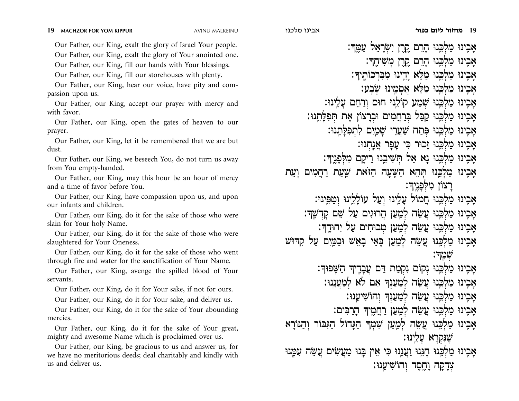אבינו מלכנו

Our Father, our King, exalt the glory of Israel Your people. Our Father, our King, exalt the glory of Your anointed one. Our Father, our King, fill our hands with Your blessings.

Our Father, our King, fill our storehouses with plenty.

Our Father, our King, hear our voice, have pity and compassion upon us.

Our Father, our King, accept our prayer with mercy and with favor.

Our Father, our King, open the gates of heaven to our prayer.

Our Father, our King, let it be remembered that we are but dust.

Our Father, our King, we beseech You, do not turn us away from You empty-handed.

Our Father, our King, may this hour be an hour of mercy and a time of favor before You.

Our Father, our King, have compassion upon us, and upon our infants and children.

Our Father, our King, do it for the sake of those who were slain for Your holy Name.

Our Father, our King, do it for the sake of those who were slaughtered for Your Oneness.

Our Father, our King, do it for the sake of those who went through fire and water for the sanctification of Your Name.

Our Father, our King, avenge the spilled blood of Your servants.

Our Father, our King, do it for Your sake, if not for ours.

Our Father, our King, do it for Your sake, and deliver us.

Our Father, our King, do it for the sake of Your abounding mercies.

Our Father, our King, do it for the sake of Your great, mighty and awesome Name which is proclaimed over us.

Our Father, our King, be gracious to us and answer us, for we have no meritorious deeds; deal charitably and kindly with us and deliver us.

ישראל קרן. <u>้ם</u> הר ם משיחד: הרז . מלכנוּ הר ידינוּ מברכותיד: מלא מלכנו אםמינו מל מלכנו לנוּ חוּם ורחם עלינוּ: ברחמים וברצוׁו את תפלתנו: הבד מלכנו לתפלתנו: פתח כנו כי זכור מלכנו תשי נא אל מלכנו יקם השׁעה הזאת תהא ועת אבינו מלפניד: רצוז עלינוּ קרשד: שם וגים למען עשה על הר טבוחים על יחודד: למעז עשה למען באי באש ובמים על קדוש עשה אבינו שמד נקום השפוד: נקמת דם למעננו: לא אם למענד שה כנו עשה בים: מלכנו מעז שמך והנורא הגרול הגבור רמען ITEX מלכנו חננו ועננו כי אין מעשים בנו עמנו

צדקה וחסד והושיענו: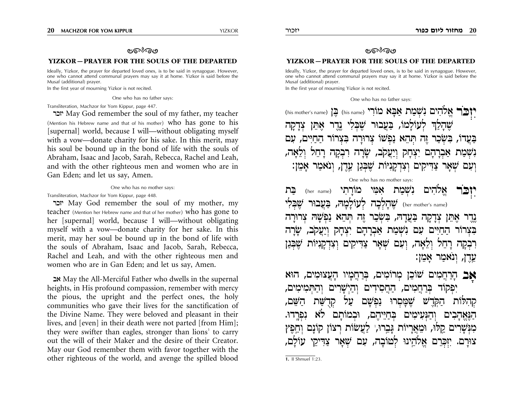#### ೕ୵ଊୢ୵ୠୄ୳

#### **YIZKOR-PRAYER FOR THE SOULS OF THE DEPARTED**

Ideally, Yizkor, the prayer for departed loved ones, is to be said in synagogue. However, one who cannot attend communal prayers may say it at home. Yizkor is said before the Musaf (additional) prayer.

In the first year of mourning Yizkor is not recited.

One who has no father says:

#### Transliteration, Machzor for Yom Kippur, page 447.

יובר May God remember the soul of my father, my teacher (Mention his Hebrew name and that of his mother) who has gone to his [supernal] world, because I will—without obligating myself with a vow-donate charity for his sake. In this merit, may his soul be bound up in the bond of life with the souls of Abraham, Isaac and Jacob, Sarah, Rebecca, Rachel and Leah, and with the other righteous men and women who are in Gan Eden; and let us say, Amen.

#### One who has no mother says:

#### Transliteration, Machzor for Yom Kippur, page 448.

יוכר May God remember the soul of my mother, my **teacher** (Mention her Hebrew name and that of her mother) **who has gone to** her [supernal] world, because I will—without obligating myself with a vow—donate charity for her sake. In this merit, may her soul be bound up in the bond of life with the souls of Abraham, Isaac and Jacob, Sarah, Rebecca, Rachel and Leah, and with the other righteous men and women who are in Gan Eden; and let us say, Amen.

אב May the All-Merciful Father who dwells in the supernal heights, in His profound compassion, remember with mercy the pious, the upright and the perfect ones, the holy communities who gave their lives for the sanctification of the Divine Name. They were beloved and pleasant in their lives, and [even] in their death were not parted [from Him]; they were swifter than eagles, stronger than lions<sup>1</sup> to carry out the will of their Maker and the desire of their Creator. May our God remember them with favor together with the other righteous of the world, and avenge the spilled blood

#### ೲಀಀೲ

#### **YIZKOR-PRAYER FOR THE SOULS OF THE DEPARTED**

Ideally, Yizkor, the prayer for departed loved ones, is to be said in synagogue. However, one who cannot attend communal prayers may say it at home. Yizkor is said before the Musaf (additional) prayer.

In the first year of mourning Yizkor is not recited.

יזכור

#### One who has no father says:

| יַן (his mother's name) בֶּן (his name) לֵין (his mother's name) וְיַ             |
|-----------------------------------------------------------------------------------|
| שֶׁהָלַךְ לְעוֹלָמוֹ, בַּעֲבוּר שֶׁבְּלִי גֶדֶר אֶתֵּן צְדָקָה                    |
| בַּעֲדוֹ, בִּשְׂכַר זֵה תְּהֵא נַפִּשׁוֹ צִרוּרָה בִּצְרוֹר הַחַיִּים, עִם        |
| ִּנִשְׁמַת אַבְרָהָם יִצְחָק וְיַעֲקֹב, שָׂרָה רִבְקָה רָחֵל וְלֵאָה,             |
| וְעָם שְׁאָר צַדִּיקִים וְצִדְקָנִיּוֹת שֶׁבְּנֵן עֵדֶן, וְנֹאמַר אָמֵן:          |
| One who has no mother says:                                                       |
| יִזְכֹר אֱלֹהִים נִשְׁמַת אִמִּי מוֹרָתִי (her name) בַּת                         |
| (her mother's name) שֶׁהְלְכָה לְעוֹלָמָהּ, בַּעֲבוּר שֶׁבִּלִי                   |
| נֶדֶר אֶתֵּן צְדָקָה בַּעֲדָהּ, בִּשְּׂכַר זֶה תְּהֵא נַפִּשָּׁהּ צִרוּרָה        |
| בִּצְרוֹר הַחַיִּים עִם נִשְׁמַת אַבְרָהָם יִצְחָק וְיַעֲקֹב, שָׂרָה              |
| רִבְקָה רָחֵל וְלֵ <b>אָה, וְעִם שְׁאָר צַ</b> דִּיקִים וְצִדְקָנִיּוֹת שֶׁבְּנַן |
| עֵרֶן, וִנֹאמַר אָמֵן:                                                            |
| <b>אַב</b> הָרַחֲמִים שׁוֹכֵן מְרוֹמִים, בְּרַחֲמָיו הָעֲצוּמִים, הוּא            |
| יִפְקוֹד בִּרַחֲמִים, הַחֲסִידִים וְהַיִשָּׁרִים וְהַתִּמִימִים,                  |
| קְהִלּוֹת הַקְּדֶשׁ שֶׁמָּםְרוּ נַפְּשָׁם עַל קְדֻשַּׁת הַשֵּׁם,                  |
| הַנֶּאֱהָבִים וְהַנְּעִימִים בְּחַיֵּיהֶם, וּבְמוֹתָם לֹא נִפְרֶדוּ.              |

קלו, ומאריות גברו, לעשות רצון קונם וחֵפֵץ

אלהינו לטובה, עם שאר צדיקי עולם,

**<sup>1.</sup>** Il Shmuel 1:23.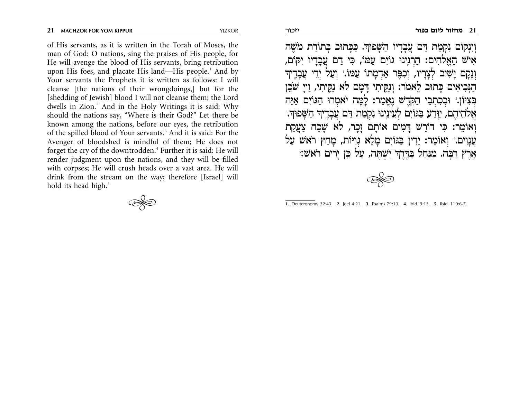וַיְנִקוֹם נִקְמַת דַם עֲבָדֵיו הַשַּׁפּוּךָ. כַּבַתוּב בּתוֹרַת מֹשׁה ַיקוֹם, איש האלהים: הרנינוּ גוֹיִם עַמּו, כּי דִם עבדיו יַנַקַם יַשִּׁיב לִצַרַיו, וְכִפֵּר אַדְמַתוֹ עַמּוֹ.<sub>'</sub> וְעַל יִדֵי עֵבָדֵיךָ הַנְּבִיאִים כַּתוּב לֵאמֹר: וְנִקֵּיתִי דַּמָּם לֹא נִקֵּיתִי, וַיְיַ שֹׁבָן בְּצְיּוֹן. ּוּבְבְתְבֵי הַקְּדֵשׁ נֵאֱמַר: לֵמֵה יֹאמִרוּ הַגּוֹיִם אַיֵּה אֵלהֵיהֵם, יֵוּדַע בַּגּוֹיִם לְעֵינֵינוּ נִקְמַת דַּם עֲבַדֵיךָ הַשַּׁפוּךָ. ואומר: כי דורש דמים אותם זכר, לא שכח צעקת עֲנָוִים.' וִאוֹמֵר: יָדִין בַּגּוֹיִם מָלֵא גִוִיּוֹת, מָחַץ רֹאשׁ עַל אֶרֶץ רַבָּה. מִנַּחַל בַּדֱרֶךְ יִשְׁתֶּה, עַל בֵּן יָרִים רֹאשׁ:



**1.** Deuteronomy 32:43. **2.** Joel 4:21. **3.** Psalms 79:10. **4.** Ibid. 9:13. **5.** Ibid. 110:6-7.

יזכור

of His servants, as it is written in the Torah of Moses, the man of God: O nations, sing the praises of His people, for He will avenge the blood of His servants, bring retribution upon His foes, and placate His land—His people.<sup>1</sup> And by Your servants the Prophets it is written as follows: I will cleanse [the nations of their wrongdoings,] but for the [shedding of Jewish] blood I will not cleanse them; the Lord dwells in Zion.<sup>2</sup> And in the Holy Writings it is said: Why should the nations say, "Where is their God?" Let there be known among the nations, before our eyes, the retribution of the spilled blood of Your servants.<sup>3</sup> And it is said: For the Avenger of bloodshed is mindful of them; He does not forget the cry of the downtrodden.<sup>4</sup> Further it is said: He will render judgment upon the nations, and they will be filled with corpses; He will crush heads over a vast area. He will drink from the stream on the way; therefore [Israel] will hold its head high.<sup>5</sup>

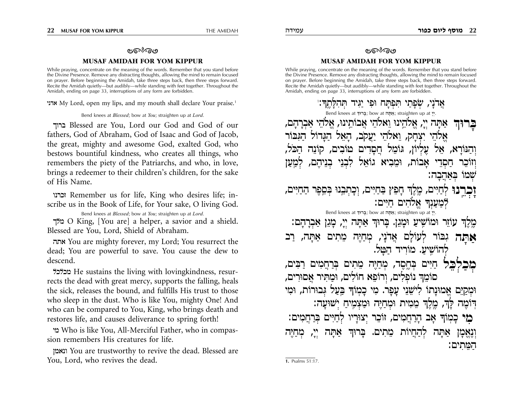#### ೕೲೋ

#### **MUSAF AMIDAH FOR YOM KIPPUR**

While praying, concentrate on the meaning of the words. Remember that you stand before the Divine Presence. Remove any distracting thoughts, allowing the mind to remain focused on prayer. Before beginning the Amidah, take three steps back, then three steps forward. Recite the Amidah quietly—but audibly—while standing with feet together. Throughout the Amidah, ending on page 33, interruptions of any form are forbidden.

אדני My Lord, open my lips, and my mouth shall declare Your praise.<sup>1</sup>

Bend knees at *Blessed*; bow at *You*; straighten up at *Lord*.

**Elessed** are You, Lord our God and God of our fathers, God of Abraham, God of Isaac and God of Jacob, the great, mighty and awesome God, exalted God, who bestows bountiful kindness, who creates all things, who remembers the piety of the Patriarchs, and who, in love, brings a redeemer to their children's children, for the sake of His Name.

וכרנו Remember us for life, King who desires life; inscribe us in the Book of Life, for Your sake, O living God.

Bend knees at *Blessed*: bow at *You*: straighten up at *Lord*.

O King, [You are] a helper, a savior and a shield. Blessed are You, Lord, Shield of Abraham.

אתה You are mighty forever, my Lord; You resurrect the dead; You are powerful to save. You cause the dew to descend.

He sustains the living with loving kindness, resurrects the dead with great mercy, supports the falling, heals the sick, releases the bound, and fulfills His trust to those who sleep in the dust. Who is like You, mighty One! And who can be compared to You, King, who brings death and restores life, and causes deliverance to spring forth!

מי Who is like You, All-Merciful Father, who in compassion remembers His creatures for life.

ונאמן You are trustworthy to revive the dead. Blessed are You, Lord, who revives the dead.

#### ೲೢೢೲ

#### **MUSAF AMIDAH FOR YOM KIPPUR**

While praying, concentrate on the meaning of the words. Remember that you stand before the Divine Presence. Remove any distracting thoughts, allowing the mind to remain focused on prayer. Before beginning the Amidah, take three steps back, then three steps forward. Recite the Amidah quietly—but audibly—while standing with feet together. Throughout the Amidah, ending on page 33, interruptions of any form are forbidden.

תפתח ופי Bend knees at בְּרוּדָ; bow at אֲתַּה; straighten up at  $\gamma$ . אבותינוּ. אתה אלהי והנורא. 78 ומביא אבות, באהבה: החיים, ◘ Bend knees at ברוך; bow at אתה; straighten up at  $\gamma$ . אברהם: מגן אתה מחיה וסד ורופא חו סומד ומתיר אםור ב. כים. נופל גבורות. אמונ ומחיה ெ 고. אתה להחיות המתים:

1. Psalms 51:17.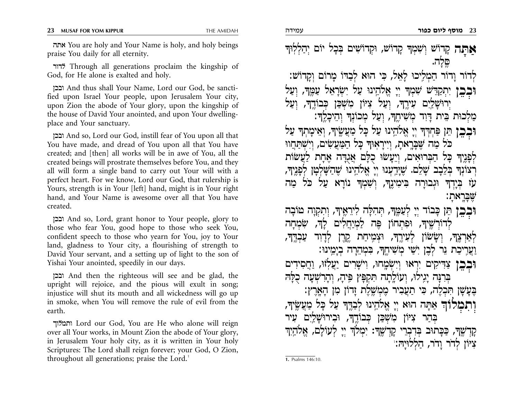23 **MUSAF FOR YOM KIPPUR** 

אתה You are holy and Your Name is holy, and holy beings praise You daily for all eternity.

דור Through all generations proclaim the kingship of God, for He alone is exalted and holy.

And thus shall Your Name, Lord our God, be sanctified upon Israel Your people, upon Jerusalem Your city, upon Zion the abode of Your glory, upon the kingship of the house of David Your anointed, and upon Your dwellingplace and Your sanctuary.

ובכן And so, Lord our God, instill fear of You upon all that You have made, and dread of You upon all that You have created; and [then] all works will be in awe of You, all the created beings will prostrate themselves before You, and they all will form a single band to carry out Your will with a perfect heart. For we know, Lord our God, that rulership is Yours, strength is in Your [left] hand, might is in Your right hand, and Your Name is awesome over all that You have created.

ובכן And so, Lord, grant honor to Your people, glory to those who fear You, good hope to those who seek You, confident speech to those who yearn for You, joy to Your land, gladness to Your city, a flourishing of strength to David Your servant, and a setting up of light to the son of Yishai Your anointed, speedily in our days.

ובכן And then the righteous will see and be glad, the upright will rejoice, and the pious will exult in song; injustice will shut its mouth and all wickedness will go up in smoke, when You will remove the rule of evil from the earth.

ותמלוך Lord our God, You are He who alone will reign over all Your works, in Mount Zion the abode of Your glory, in Jerusalem Your holy city, as it is written in Your holy Scriptures: The Lord shall reign forever; your God, O Zion, throughout all generations; praise the Lord.<sup>1</sup>

לדור ודור מרום וקדוש: לבדו כי הוא לאל. המליכוּ ישׂראל עמד, ועל אלהינו כבודד, משכו ציון ועל

מַלְכוּת בֵּית דַּוְד מִשִׁיחֵדּ, וְעַל מִכוֹנְדְּ וְהֵיכָלֵדִּ: פּּחְדְּךָ יְיָ אֱלֹהֵינוּ עַל כָּל מַעֲשֶׂיךָ, וִאֵימָתִךְ עַל הן מַה שֵׁבָּרָאתָ, וְיִירָאִוּךְ כַּל הַמַּעֲשִׂים, וְיִשְׁתַּחַוּוּ בל כל הברואים, ויעשו כלם אגדה אחת יי אלהינוּ שהשלטן ענו וגבורה שבראת:

ליראיד, ותקוה טוֹבה  $\frac{1}{2}$ לעמד, תהלה כבוד חז שמחה לד, למיחלים פה ופתחון וצמיחת לעירד, וששוו עבדד, קרן רארצד, לִבֵן יִשַּׁי מִשִׁיחֵךּ, בִּמְהֵרַה נר צדיקים יראו וישמחו, ו יעלוו, וחםידים ים וככן בִּרְנַּה יָגֵילוּ, וְעָוֹלֵתַה תְּקִפְּץ פִּיהַ, וְהַרִשָּׁעַה כְלַהּ

בֵּעֲשָׁן תִּכְלֶה, כִּי תַעֲבִיר מֶמִשֶּׁלֶת זַדוֹן מִן הַאֲרֶץ: תְבְלוֹךְ אַתָּה הוּא יְיָ אֱלֹהֵינוּ לְבַדֶּךְ עַל כָּל מַעֲשֵׂיךָ, וּבירוּשַׁלֵיִם כבודד, משכו בהר קַרִשֵׁדּ, כַּבָּתוּב בִּדְבְרֵי קָרָשֵׁדִּ: יְמִלְדְּ ציון לדר ודר, הללויה:י

1. Psalms 146:10

עמידה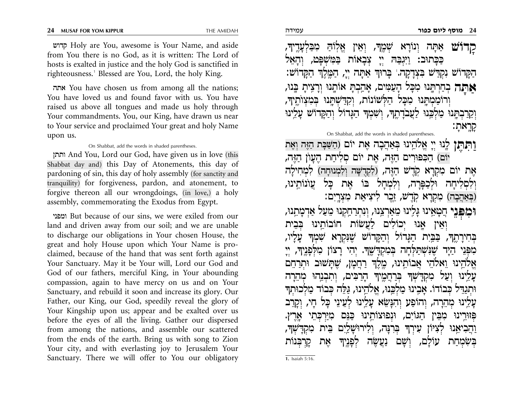קדוש Holy are You, awesome is Your Name, and aside from You there is no God, as it is written: The Lord of hosts is exalted in justice and the holy God is sanctified in righteousness.<sup>1</sup> Blessed are You, Lord, the holy King.

אתה You have chosen us from among all the nations; You have loved us and found favor with us. You have raised us above all tongues and made us holy through Your commandments. You, our King, have drawn us near to Your service and proclaimed Your great and holy Name upon us.

#### On Shabbat, add the words in shaded parentheses.

ותתן And You, Lord our God, have given us in love (this Shabbat day and) this Day of Atonements, this day of pardoning of sin, this day of holy assembly (for sanctity and tranquility) for forgiveness, pardon, and atonement, to forgive thereon all our wrongdoings, (in love,) a holy assembly, commemorating the Exodus from Egypt.

ומפני But because of our sins, we were exiled from our land and driven away from our soil; and we are unable to discharge our obligations in Your chosen House, the great and holy House upon which Your Name is proclaimed, because of the hand that was sent forth against Your Sanctuary. May it be Your will, Lord our God and God of our fathers, merciful King, in Your abounding compassion, again to have mercy on us and on Your Sanctuary, and rebuild it soon and increase its glory. Our Father, our King, our God, speedily reveal the glory of Your Kingship upon us; appear and be exalted over us before the eyes of all the living. Gather our dispersed from among the nations, and assemble our scattered from the ends of the earth. Bring us with song to Zion Your city, and with everlasting joy to Jerusalem Your Sanctuary. There we will offer to You our obligatory

אתה קדוש כַּכַּתוּב: ֹאַתָּה יְיָ, הַמֱלֵךְ הַקֵּרוֹשׁ: בַרוּדִ הקדוש נקדש בצדקה.'' העמים, אהבת אותנו ורצית בנו, אתה בחרתנו מכל הלשונות, וקדשתנו במצותיד, מכל ורוממתנוּ ַלַעֲבדָתֵךּ, וִשְׁמִךְ הַנֵּדוֹל וְהַקַּדוֹשׁ עַלִינוּ <u>וְקְרַבְהָנוּ</u> קרַאתַ: On Shabbat, add the words in shaded parentheses. לנוּ אלהינוּ באהבה את יוֹם (השׁבּת הזה ואת יוֹם) הכפורים הזה, את יוֹם סליחת העון הזה, קדש הזה, (לקדשה ולמנוחה) למחילה את יום מקרא עונותינו. את כל בו 'למחל г٦, ילכפר ליחה ש, זכר ליציאת מצרים: מקרא קד באהבה) חטאינוּ גלינוּ מארצנוּ, ונתרחקנוּ מעל אדמתנוּ, לעשות חובותינו יכולים בבית אנו 7°N בחירתד, בבית הגדול והקדוש שַׁנִּשְׁתַלְחָה בִּמְקְדַשָּׁךָ, יְהִי מפני היד רצוז רחמו, אלהינו ואלהי אבותינו, ַ מֱלֵך שתשוב הרבים, ותבנהוּ מהרה ברחמיד מקד ועל אבינוּ מלכנוּ, אלהינוּ, גּלָה כּבוֹד מלכוּתךּ ותגדל כבודו. והופע והנשא הי, בל נו מהרה, וּנפוּצותינוּ פנם הגוים. ולירושלים בית ברנה, את קרבנות

1. Isaiah 5:16.

עמידה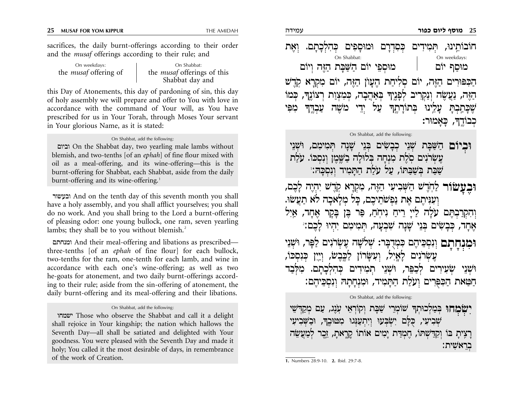sacrifices, the daily burnt-offerings according to their order and the *musaf* offerings according to their rule; and

| On weekdays:                 | On Shabbat:                        |
|------------------------------|------------------------------------|
| the <i>musaf</i> offering of | the <i>musaf</i> offerings of this |
|                              | Shabbat day and                    |

this Day of Atonements, this day of pardoning of sin, this day of holy assembly we will prepare and offer to You with love in accordance with the command of Your will, as You have prescribed for us in Your Torah, through Moses Your servant in Your glorious Name, as it is stated:

#### On Shabbat, add the following:

וביום On the Shabbat day, two yearling male lambs without blemish, and two-tenths [of an *ephah*] of fine flour mixed with oil as a meal-offering, and its wine-offering-this is the burnt-offering for Shabbat, each Shabbat, aside from the daily burnt-offering and its wine-offering.<sup>1</sup>

ובעשור And on the tenth day of this seventh month you shall have a holy assembly, and you shall afflict yourselves; you shall do no work. And you shall bring to the Lord a burnt-offering of pleasing odor: one young bullock, one ram, seven yearling lambs; they shall be to you without blemish.<sup>2</sup>

And their meal-offering and libations as prescribed three-tenths [of an *ephah* of fine flour] for each bullock, two-tenths for the ram, one-tenth for each lamb, and wine in accordance with each one's wine-offering; as well as two he-goats for atonement, and two daily burnt-offerings according to their rule; aside from the sin-offering of atonement, the daily burnt-offering and its meal-offering and their libations.

#### On Shabbat, add the following:

ישמחו Those who observe the Shabbat and call it a delight shall rejoice in Your kingship; the nation which hallows the Seventh Day-all shall be satiated and delighted with Your goodness. You were pleased with the Seventh Day and made it holy; You called it the most desirable of days, in remembrance of the work of Creation.

את: On Shabbat: On weekdays: בת הזה מוּםף יוֹם ום העוז יום הזה, םליחת **ה**זה, הכפורים  $\mathbf{C}^{\prime}$ ה: כמצו באהבה. רפניד שה בתורתד כִּבוֹדֱךָ, כָּאָמוּר: On Shabbat, add the following: שנה תמימם. בני Ð כבש עשׂרנים םלת מנחה בלוּלה בשׁמן ונסכּוֹ. שבת בשבתו, על עלת התמיד ונסכה: ש השביעי הזה, מקרא קרש יהיה לכם, וְעִנִּיהֶם אֶת נַפְּשֹׁתֵיכֵם, כָּל מְלַאכַה לֹא תַעֲשׂוּ. איל אחד, בקר יַבֵּן ליי ריח ניחח, פר והקרבתם שבעה, תמימם שנה כמדבר: ונםכיהם מנחתם כנסכו, ם' תמיד לכפר, וְעַלַת הַתַּמִיד, וּמִנְחֲתַהּ ונסכּיהם: ים חטאת הכפר On Shabbat, add the following: 'קוראי שבת מטוּבד, פקם וְקְדַשְׁתּוֹ, חֵמְדַּת יַמִּים אוֹתוֹ קַרֵאת, זַבֵר :בראשית

1. Numbers 28:9-10. 2. Ibid. 29:7-8.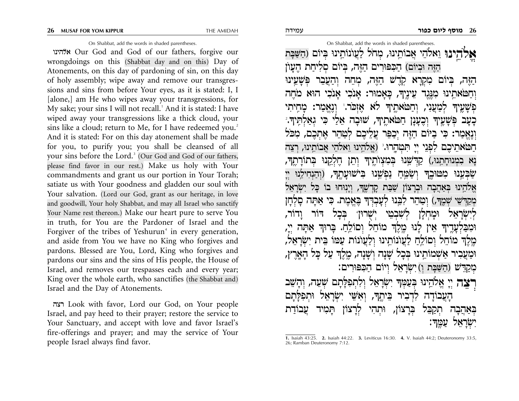On Shabbat, add the words in shaded parentheses.

אלהינו Our God and God of our fathers, forgive our wrongdoings on this (Shabbat day and on this) Day of Atonements, on this day of pardoning of sin, on this day of holy assembly; wipe away and remove our transgressions and sins from before Your eyes, as it is stated: I, I [alone,] am He who wipes away your transgressions, for My sake; your sins I will not recall.<sup>1</sup> And it is stated: I have wiped away your transgressions like a thick cloud, your sins like a cloud; return to Me, for I have redeemed you.<sup>2</sup> And it is stated: For on this day atonement shall be made for you, to purify you; you shall be cleansed of all your sins before the Lord.<sup>3</sup> (Our God and God of our fathers, please find favor in our rest.) Make us holy with Your commandments and grant us our portion in Your Torah; satiate us with Your goodness and gladden our soul with Your salvation. (Lord our God, grant as our heritage, in love and goodwill, Your holy Shabbat, and may all Israel who sanctify Your Name rest thereon.) Make our heart pure to serve You in truth, for You are the Pardoner of Israel and the Forgiver of the tribes of Yeshurun<sup>4</sup> in every generation, and aside from You we have no King who forgives and pardons. Blessed are You, Lord, King who forgives and pardons our sins and the sins of His people, the House of Israel, and removes our trespasses each and every year; King over the whole earth, who sanctifies (the Shabbat and) Israel and the Day of Atonements.

Look with favor, Lord our God, on Your people Israel, and pay heed to their prayer; restore the service to Your Sanctuary, and accept with love and favor Israel's fire-offerings and prayer; and may the service of Your people Israel always find favor.

On Shabbat, add the words in shaded parentheses. לעונותינו ביום (השבת הינו ואלהי אבותינו, מחל הכפורים הזה, ביום סליחת העוו הזה וביום) מחה **FITT,** W מקרא ביום היה, קד כַאַמוּר: אַנכִי אַנכִי הוּא מחָה וחטאתינו עיניד, מנגד וחטאתיך לא אוכר.י ונאמר: מחיתי שובה אלי גאלתיה. כי וכענן חטאתיד, עליכם לטהר אתכם, ביום הזה יכפר כי חִטֹּאתֵיכֶם לִפְנֵי יִי תִּטְהַרוּ. ּ (אֱלֹהֵינוּ וֵאלֹהֵי אֲבוֹתֵינוּ, רִצֶה חלקנוּ בתורתדּ, קדשנו במצותיד נא במנוחתנו,) ותז -(והנחילנוּ שמח קרשר, שבת בל בו וינוחו וּברצוֹן באהבה באמת. כי אתה לבנוּ וטהר דור בכל ישרוי ומחלו וםולח. ברוד אתה מוחל מלד **1'N** לנוּ לעונותינו ולעונות עמו בית ישראל, מוחל וסולח ַעַל כַּל הַאֲרֵץ, שנה ושנה, אשמותינו בכל מלד מקדש (השבת ו) ישראל ויום . הכפורים שעה, והשב אלהינו בעמד ותפלתם ברצון, עבודת ותהי תקבל באהבו

<sup>1.</sup> Isaiah 43:25. 2. Isaiah 44:22. 3. Leviticus 16:30. 4. V. Isaiah 44:2; Deuteronomy 33:5, 26; Ramban Deuteronomy 7:12.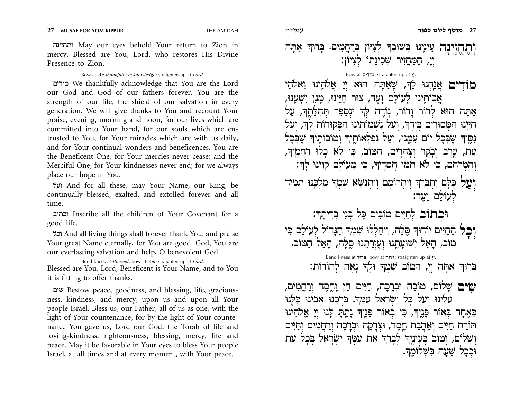ותחזינה May our eyes behold Your return to Zion in mercy. Blessed are You, Lord, who restores His Divine Presence to Zion.

Bow at We thankfully acknowledge; straighten up at Lord.

שורים We thankfully acknowledge that You are the Lord our God and God of our fathers forever. You are the strength of our life, the shield of our salvation in every generation. We will give thanks to You and recount Your praise, evening, morning and noon, for our lives which are committed into Your hand, for our souls which are entrusted to You, for Your miracles which are with us daily, and for Your continual wonders and beneficences. You are the Beneficent One, for Your mercies never cease; and the Merciful One, for Your kindnesses never end; for we always place our hope in You.

יעל And for all these, may Your Name, our King, be continually blessed, exalted, and extolled forever and all time.

ובתוב Inscribe all the children of Your Covenant for a good life.

רב? And all living things shall forever thank You, and praise Your great Name eternally, for You are good. God, You are our everlasting salvation and help, O benevolent God.

Bend knees at *Blessed*; bow at *You*; straighten up at *Lord*. Blessed are You, Lord, Beneficent is Your Name, and to You it is fitting to offer thanks.

שים Bestow peace, goodness, and blessing, life, graciousness, kindness, and mercy, upon us and upon all Your people Israel. Bless us, our Father, all of us as one, with the light of Your countenance, for by the light of Your countenance You gave us, Lord our God, the Torah of life and loving-kindness, righteousness, blessing, mercy, life and peace. May it be favorable in Your eyes to bless Your people Israel, at all times and at every moment, with Your peace.

## אתה ברוד '⊡۰

Bow at מודים; straighten up at ".

<u>ק</u>ד, שאתה הוא אֵלהֵינוּ אנחנו מודים אבותינוּ לעוֹלֵם וַעֲד, צוּר חַיֵּיְנוּ, מַגֶן אתה הוא לדור ודור, נודה לד ונספר תהלתד, חיינו המסורים בידד, ועל נשמותינו הפקודות לד, ועל יוֹם עִמֲנוּ, וְעַל נִפְלְאוֹתֵיךְ וְטוֹבוֹתֵיךְ שַׁבּכַל נםיד לא כלו רחמיד, וְצְהְרָיִם, הַטּוֹב, כי ובקר לא תמוּ חַסְדֵיךּ, כִּי מעולם קוינוּ לדּ: כי והמרחם. יתברך ויתרומם ויתנשא לעולם ועד:

וכתוב לחיים טובים כל בני בריתה: וכל החיים יודוד םלה, ויהללוּ שמד הגדול לעולם כי טוב, האל ישועתנו ועזרתנו סלה, האל הטוב.

> Bend knees at בְּרוּד; bow at אֶתָּה; straighten up at  $\ddot{?}$ . אַתָּה יְיָ, הַטּוֹב שָׁמִךְ וּלִךְ נָאֵה לְהוֹדוֹת: ברוד

שלום. מוכה וברכה, שים וחםד הז ם' חיי עמד. ברכנוּ אבינוּ כלנוּ ישראל עלינוּ ועל כּל כִּאֲחַד בִּאוֹר פַּנֵיִךְ, כִּי בִאוּר  $\mathbf{A}$ קְנוּ פּנֵיד נתת תּוֹרַת חַיִּים וְאֲהֲבָת חֱסֶד, וּצְדַקַה וּבְרַכָה וְרַחֲמִים וְחַיִּים יָשָׁלוֹם, וְטוֹב בִּעֵינֵיְךָ לִבָרֵךְ אֵת עַמְּךָ יְשָׂרַאֵל בִּבַל יבכל שעה בשלומד.

עמידה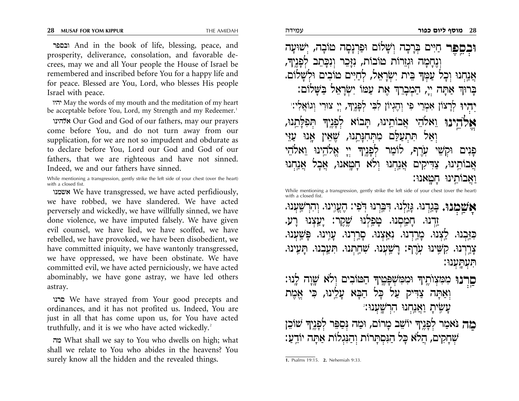ובספר And in the book of life, blessing, peace, and prosperity, deliverance, consolation, and favorable decrees, may we and all Your people the House of Israel be remembered and inscribed before You for a happy life and for peace. Blessed are You, Lord, who blesses His people Israel with peace.

יהיו May the words of my mouth and the meditation of my heart be acceptable before You, Lord, my Strength and my Redeemer.<sup>1</sup>

אלהינו Our God and God of our fathers, may our prayers come before You, and do not turn away from our supplication, for we are not so impudent and obdurate as to declare before You, Lord our God and God of our fathers, that we are righteous and have not sinned. Indeed, we and our fathers have sinned.

While mentioning a transgression, gently strike the left side of your chest (over the heart) with a closed fist.

אשמנו We have transgressed, we have acted perfidiously, we have robbed, we have slandered. We have acted perversely and wickedly, we have willfully sinned, we have done violence, we have imputed falsely. We have given evil counsel, we have lied, we have scoffed, we have rebelled, we have provoked, we have been disobedient, we have committed iniquity, we have wantonly transgressed, we have oppressed, we have been obstinate. We have committed evil, we have acted perniciously, we have acted abominably, we have gone astray, we have led others astray.

סרנו We have strayed from Your good precepts and ordinances, and it has not profited us. Indeed, You are just in all that has come upon us, for You have acted truthfully, and it is we who have acted wickedly.<sup>2</sup>

מה What shall we say to You who dwells on high; what shall we relate to You who abides in the heavens? You surely know all the hidden and the revealed things.

ושלום ופרנסה מובה, נזכר וּגוַרות טובות, ונכתב נחמה לחיים טובים ולשלום. בית עמד אנחנו את עמו ישר המברד אתה ברוד

לפניה. לבי פי והגיוֹן אמרי לרצוז אבותינו, תִּבוֹא וַאלהי מתחנתנו. 7N חתעלם פנים אַנַחנוּ חמאנו, -871. ◘ אבותי ואבותינוּ חמאנו:

While mentioning a transgression, gently strike the left side of your chest (over the heart) with a closed fist.

זדנו. נאצנו. כוכנו. מרדנוּ. סררנו. שחתנו. תעבנו. תעינו. שענו. ער ٦J

- שוה לנו: D המובי אמת כי יאתה עשית ואנחנוּ הר
- לפניד יוֹשב מרוֹם, וּמה נספּר מה נאמר שחקים, הלא כל הנסתרות והנגלות אתה יודע:

1. Psalms 19:15. 2. Nehemiah 9:33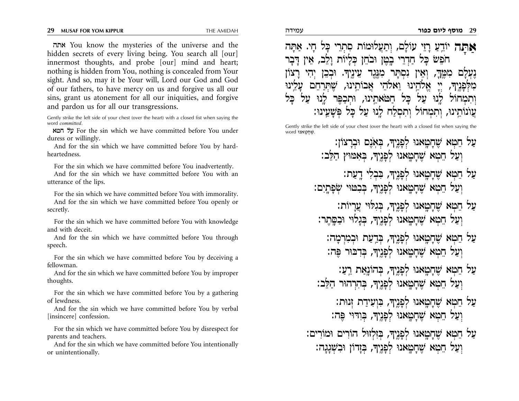אחה You know the mysteries of the universe and the hidden secrets of every living being. You search all [our] innermost thoughts, and probe [our] mind and heart; nothing is hidden from You, nothing is concealed from Your sight. And so, may it be Your will, Lord our God and God of our fathers, to have mercy on us and forgive us all our sins, grant us atonement for all our iniquities, and forgive and pardon us for all our transgressions.

Gently strike the left side of your chest (over the heart) with a closed fist when saying the word committed.

**BU** For the sin which we have committed before You under duress or willingly.

And for the sin which we have committed before You by hardheartedness.

For the sin which we have committed before You inadvertently.

And for the sin which we have committed before You with an utterance of the lips.

For the sin which we have committed before You with immorality. And for the sin which we have committed before You openly or secretly.

For the sin which we have committed before You with knowledge and with deceit.

And for the sin which we have committed before You through speech.

For the sin which we have committed before You by deceiving a fellowman.

And for the sin which we have committed before You by improper thoughts.

For the sin which we have committed before You by a gathering of lewdness.

And for the sin which we have committed before You by verbal [insincere] confession.

For the sin which we have committed before You by disrespect for parents and teachers.

And for the sin which we have committed before You intentionally or unintentionally.

הי. במו נכהר עונותינוּ, ותמחול ותמלח

Gently strike the left side of your chest (over the heart) with a closed fist when saying the word שחטאנו

> שחטאנו לפניד, באנם וכרצון: וְעַל חֵטְא שֶׁחָטְאנוּ לְפָנֶיִךָ, בְּאִמּוּץ הַלֵּב:

על חטא שחטאנו לפניך, בבלי דעת:

וְעַל חֵמְא שֶׁחָמֶאנוּ לְפָּנֶיךָ, בְּבִמּוּי שפתים:

- על חטא שחטאנוּ לפניךּ, בגלוי עריות: וְעַל הֵמָא שֶׁחָמֶאנוּ לְפָנֶיְךָּ, בְּנָלוּי וּבַםֱתֶר:
	- שחטאנו לפניד, בדעת ובמרמה: על הֵמָא שֶׁחָמֶאנוּ לְפָנֶיִךּ, בְּדִבּוּר פֶּה:
- שחטאנו לפניד, בהונאת רע: על הֵמָא שֶׁהָמֶאנוּ לְפָּנֶיךָ, בְּהִרְהוּר הלב:
	- שחמאנו לפניד, בועידת זנות: הֵמָא שֶׁחֲמֵאנוּ לִפְנֵיִךּ, בְּוְדוּי פֵּה:
- שחטאנו לפניד, בזלזוּל הורים ומורים: ּחֵמָא שֵׁחַמֵאנוּ לִפְנֵיִךּ, בְּזַדוֹן וּבִשְׁנֵגָה:

עמידה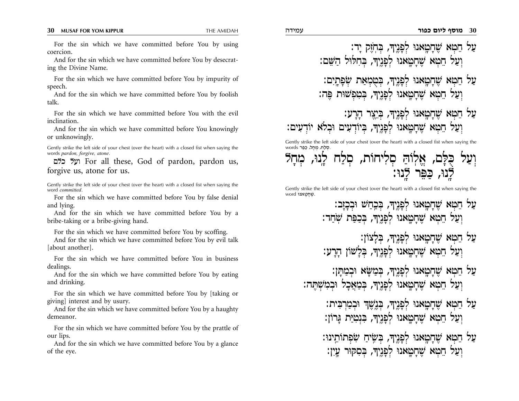For the sin which we have committed before You by using coercion.

And for the sin which we have committed before You by desecrating the Divine Name.

For the sin which we have committed before You by impurity of speech.

And for the sin which we have committed before You by foolish talk.

For the sin which we have committed before You with the evil inclination.

And for the sin which we have committed before You knowingly or unknowingly.

Gently strike the left side of your chest (over the heart) with a closed fist when saying the words pardon, forgive, atone.

ועל כלם For all these, God of pardon, pardon us, forgive us, atone for us.

Gently strike the left side of your chest (over the heart) with a closed fist when saying the word committed.

For the sin which we have committed before You by false denial and lying.

And for the sin which we have committed before You by a bribe-taking or a bribe-giving hand.

For the sin which we have committed before You by scoffing.

And for the sin which we have committed before You by evil talk [about another].

For the sin which we have committed before You in business dealings.

And for the sin which we have committed before You by eating and drinking.

For the sin which we have committed before You by [taking or giving interest and by usury.

And for the sin which we have committed before You by a haughty demeanor.

For the sin which we have committed before You by the prattle of our lips.

And for the sin which we have committed before You by a glance of the eye.

שחמאנו לפניד, בְּחָזֶק יָד: יעל חָטָא שַׁחַטֵאנוּ לְפַנֵיִדּ, בְּחַלוּל

שחטאנו<sup>.</sup> על חטא לפני. במפשות פה: שחטאנו על לפניד, חמא

על חמא שחמאנו לפניד, ביצר הרע: יעל חטא שחטאנו לפניד, ביודעים ובלא יודעים:

Gently strike the left side of your chest (over the heart) with a closed fist when saying the שלח, מְחַל, כַּפֵּר words

לוֹהַ סְלִיחוֹת, רכר כנו, כפר כנו:

Gently strike the left side of your chest (over the heart) with a closed fist when saying the word שַׁחַטָאנו.

- טא שחטאנו לפניד. בכחש ובכזב: על וְעַל חֵמְא שֶׁחָמֶאנוּ לִפְגֵיךָ, בִּכַפַּת שִׂחַד:
	- על חטא שחטאנו לפניד, בלצוז:

וְעַל חֵמְא שֶׁחָמֶאנוּ לְפָּנֶיִךָּ, בְּלָשׁוֹן הָרָע:

ד, במשא ובמתן: על חטא שחטאנו

ַלִפְנֶיךָ, בִּמַאֲכַל ֿשֲחָטֱאנו ועל חטא

> על חמא שחמאנו בנשד רפניד,

ֿשֵ**ׁחֲטֵאנו** חמא על בנטית לפני

שפתותינו: שחטאנו בשיח על חטא רפניד, ועל חטא שחטאנוּ לפניד, בסקור עַיָן: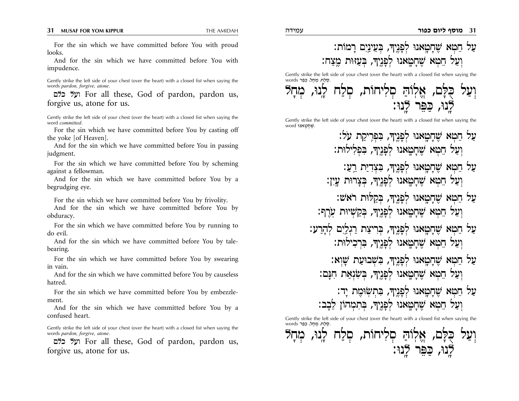31 – מוסף ליום כפור

For the sin which we have committed before You with proud looks.

And for the sin which we have committed before You with impudence.

Gently strike the left side of your chest (over the heart) with a closed fist when saying the words pardon, forgive, atone.

ועל כלם For all these, God of pardon, pardon us, forgive us, atone for us.

Gently strike the left side of your chest (over the heart) with a closed fist when saying the word committed.

For the sin which we have committed before You by casting off the voke [of Heaven].

And for the sin which we have committed before You in passing judgment.

For the sin which we have committed before You by scheming against a fellowman.

And for the sin which we have committed before You by a begrudging eye.

For the sin which we have committed before You by frivolity.

And for the sin which we have committed before You by obduracy.

For the sin which we have committed before You by running to do evil.

And for the sin which we have committed before You by talebearing.

For the sin which we have committed before You by swearing in vain.

And for the sin which we have committed before You by causeless hatred.

For the sin which we have committed before You by embezzlement.

And for the sin which we have committed before You by a confused heart.

Gently strike the left side of your chest (over the heart) with a closed fist when saying the words pardon, forgive, atone.

יעל כלם For all these, God of pardon, pardon us, forgive us, atone for us.

|                                                      | ּעַל חֵמְא שֶׁחָמֶאנוּ לְפָּנֶיִךָּ, בְּעֵינַיִם רָמוֹת: |  |
|------------------------------------------------------|----------------------------------------------------------|--|
| וְעַל חֵמְא שֶׁחָמֶאנוּ לְפְנֶיךָ, בְּעַזּוּת מֶצַח: |                                                          |  |

Gently strike the left side of your chest (over the heart) with a closed fist when saying the .סלח, מחל, כפר words

םליחות. קנו, כפר לנו:

Gently strike the left side of your chest (over the heart) with a closed fist when saying the word שחטאנו.

- על חמא שחמאנוּ לפניךּ, בפריקת על: וְעַל חֵמָא שֶׁחַמֵאנוּ לִפְנֵיִךּ, בִּפְלִילוּת:
	- עַל חֵמָא שֵׁחָטֵאנוּ לִפָּגֵיךָ, בִּצְדִיַּת רֵעֲ:

וְעַל חֵמָא שֵׁחַמֲאנוּ לִפְנֵיךָ, בִּצָרוּת עֵיְן:

- עַל חֵטָא שֵׁחָטֵאנוּ לִפָּנֵיךָ, בִּקַלּוּת רֹאשׁ: וְעַל הֵמָא שֶׁחֲטֵאנוּ לִפְנֵיִךּ, בְּקַשִׁיוּת עָרֵף:
- עַל חֵטָא שֶׁחַטֵאנוּ לִפְנֵיִךּ, בִּרִיצַת רַגְלֵיִם לְהַרַעָ: וַעַל הֵמָא שֶׁהָמֱאנוּ לִפְנֵיךָ, בִּרְכִילוּת:
	- על חטא שחטאנוּ לפניד, בשבועת שוא: וְעַל חֵמְא שֶׁחָמֶאנוּ לְפָנֶיִךָּ, בִּשְׂנִאַת חִנָּם: על חטא שחטאנוּ לפניךּ, בתשוּמת יד:

וְעַל חֵמְא שֶׁחָמֶאנוּ לְפְגֶיךָ, בְּתִמְהוֹן לֵבָב:

לֵנוּ, כַּפֵּר לִנוּ:

Gently strike the left side of your chest (over the heart) with a closed fist when saying the .סלח, מחל, כפר words בִּלַּם, אֱלְוֹהַ םְלִיחוֹת, םְלַח

עמידה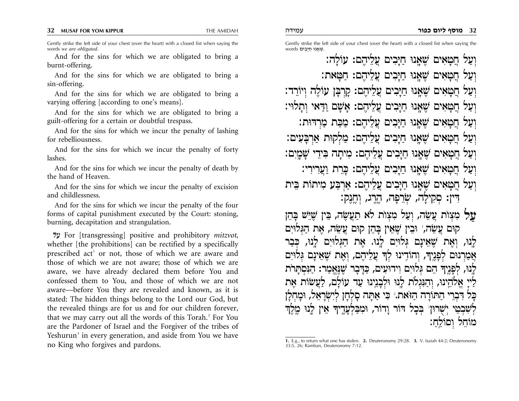Gently strike the left side of your chest (over the heart) with a closed fist when saying the words we are obligated.

And for the sins for which we are obligated to bring a burnt-offering.

And for the sins for which we are obligated to bring a sin-offering.

And for the sins for which we are obligated to bring a varying offering [according to one's means].

And for the sins for which we are obligated to bring a guilt-offering for a certain or doubtful trespass.

And for the sins for which we incur the penalty of lashing for rebelliousness.

And for the sins for which we incur the penalty of forty lashes.

And for the sins for which we incur the penalty of death by the hand of Heaven.

And for the sins for which we incur the penalty of excision and childlessness.

And for the sins for which we incur the penalty of the four forms of capital punishment executed by the Court: stoning, burning, decapitation and strangulation.

5y For [transgressing] positive and prohibitory *mitzvot*, whether [the prohibitions] can be rectified by a specifically prescribed act<sup>1</sup> or not, those of which we are aware and those of which we are not aware; those of which we are aware, we have already declared them before You and confessed them to You, and those of which we are not aware—before You they are revealed and known, as it is stated: The hidden things belong to the Lord our God, but the revealed things are for us and for our children forever, that we may carry out all the words of this Torah.<sup>2</sup> For You are the Pardoner of Israel and the Forgiver of the tribes of Yeshurun<sup>3</sup> in every generation, and aside from You we have no King who forgives and pardons.

עמידה

Gently strike the left side of your chest (over the heart) with a closed fist when saying the שאנו חיבים words

שאנו חמאת: חיבים טאים קרבן שאנו הם: חיבים ומאים אשם ודאי ותלוי: שאנו הם: חיבים חטאים מכת מרדות: שאנו הם: חיבים חמאים מלקוּת ארבּעים: חיבים שאנו הם:ו המאים אנוּ חיבי הם: D ◘ כרת וערירי: שאנו תם: חיבים חמאים חיבים עליהם: ארבע מיתוֹת בית שאנו D' ֹיכָה, שָׂרֵפָּה, חֱרֵג, וְחֵגֵק: פקי فنادفن ביז ועל מצות לא שאין בהן קום עשה, את הגלוים וכיז עשה.' קום לנו. את גלוים הגלוים לנו. אינם ואת לך ינו תם. והוד D ם: שות את לנו כנינו והנגלת עד כי התורה היאת.׳ אתה םל

1. E.g., to return what one has stolen. 2. Deuteronomy 29:28. 3. V. Isaiah 44:2; Deuteronomy 33:5, 26; Ramban, Deuteronomy 7:12.

בכל דור ודור, וּמִבַּלְעַזֵ

וםולח: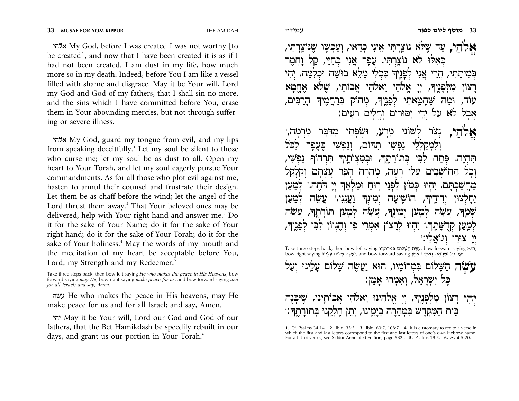אלהי My God, before I was created I was not worthy [to be created], and now that I have been created it is as if I had not been created. I am dust in my life, how much more so in my death. Indeed, before You I am like a vessel filled with shame and disgrace. May it be Your will, Lord my God and God of my fathers, that I shall sin no more, and the sins which I have committed before You, erase them in Your abounding mercies, but not through suffering or severe illness.

אלהי My God, guard my tongue from evil, and my lips from speaking deceitfully.<sup>1</sup> Let my soul be silent to those who curse me; let my soul be as dust to all. Open my heart to Your Torah, and let my soul eagerly pursue Your commandments. As for all those who plot evil against me, hasten to annul their counsel and frustrate their design. Let them be as chaff before the wind; let the angel of the Lord thrust them away.<sup>2</sup> That Your beloved ones may be delivered, help with Your right hand and answer me.<sup>3</sup> Do it for the sake of Your Name; do it for the sake of Your right hand; do it for the sake of Your Torah; do it for the sake of Your holiness.<sup>4</sup> May the words of my mouth and the meditation of my heart be acceptable before You, Lord, my Strength and my Redeemer.<sup>5</sup>

עשה He who makes the peace in His heavens, may He make peace for us and for all Israel; and say, Amen.

יהי May it be Your will, Lord our God and God of our fathers, that the Bet Hamikdash be speedily rebuilt in our days, and grant us our portion in Your Torah.<sup>6</sup>

כאלו N7 יהי ככל JХ הר במיתתי, הַרַבִּים, בו מחוק שחטאתי יסורים

תהיה. בתורתד, פתח מהרה □ במ דחה. יהיו קך ־צו

Take three steps back, then bow left saying עָשֶׂה הַשָּׁלוֹם בִּמְרוֹמָיו bow forward saying ,הוא bow right saying יָעֲשֶׂה שָׁלוֹם עָלִינוּ, and bow forward saying אָנָשׂה שַׁלוֹם אַלִּינוּ.

במרומיו, הוא יעשׂה כל ישראל, ואמרוּ אמן:

אלהינו ואלה

Take three steps back, then bow left saying He who makes the peace in His Heavens, bow forward saying may He, bow right saying make peace for us, and bow forward saying and for all Israel; and say, Amen.

<sup>1.</sup> Cf. Psalms 34:14. 2. Ibid. 35:5. 3. Ibid. 60:7, 108:7. 4. It is customary to recite a verse in which the first and last letters correspond to the first and last letters of one's own Hebrew name. For a list of verses, see Siddur Annotated Edition, page 582.. 5. Psalms 19:5. 6. Avot 5:20.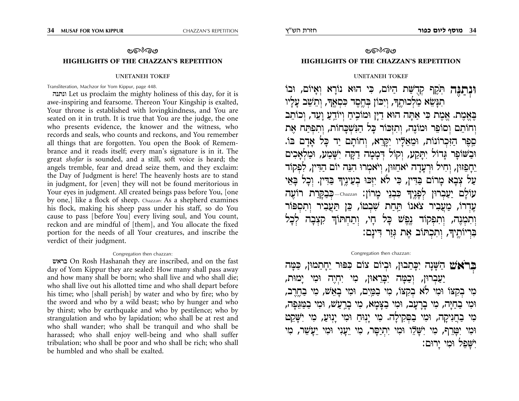**CHAZZAN'S REPETITION** 

## ೲೢೢೲ **HIGHLIGHTS OF THE CHAZZAN'S REPETITION**

#### **UNETANEH TOKEF**

Transliteration, Machzor for Yom Kippur, page 448.

ונתנה Let us proclaim the mighty holiness of this day, for it is awe-inspiring and fearsome. Thereon Your Kingship is exalted, Your throne is established with loving kindness, and You are seated on it in truth. It is true that You are the judge, the one who presents evidence, the knower and the witness, who records and seals, who counts and reckons, and You remember all things that are forgotten. You open the Book of Remembrance and it reads itself; every man's signature is in it. The great shofar is sounded, and a still, soft voice is heard; the angels tremble, fear and dread seize them, and they exclaim: the Day of Judgment is here! The heavenly hosts are to stand in judgment, for [even] they will not be found meritorious in Your eyes in judgment. All created beings pass before You, [one by one, like a flock of sheep. Chazzan: As a shepherd examines his flock, making his sheep pass under his staff, so do You cause to pass [before You] every living soul, and You count, reckon and are mindful of [them], and You allocate the fixed portion for the needs of all Your creatures, and inscribe the verdict of their judgment.

#### Congregation then chazzan:

בראש On Rosh Hashanah they are inscribed, and on the fast day of Yom Kippur they are sealed: How many shall pass away and how many shall be born; who shall live and who shall die; who shall live out his allotted time and who shall depart before his time; who [shall perish] by water and who by fire; who by the sword and who by a wild beast; who by hunger and who by thirst; who by earthquake and who by pestilence; who by strangulation and who by lapidation; who shall be at rest and who shall wander; who shall be tranquil and who shall be harassed; who shall enjoy well-being and who shall suffer tribulation; who shall be poor and who shall be rich; who shall be humbled and who shall be exalted.

## ೲೢೢೲ **HIGHLIGHTS OF THE CHAZZAN'S REPETITION**

#### **UNETANEH TOKEF**

וּנתנה תִקֵרּ קִדְשָׁת הַיּוֹם, כִּי הוּא נוֹרַא וְאֵיוֹם, וּבוֹ תנשא מלכותה, ויכון בחסד כסאה, ותשב עליו

בֵאֲמֶת. אֱמֶת כִּי אַתֲה הוּא דָיַן וּמוֹכֵיחַ וְיוֹדֵעָ וַעֲד, וְכוֹתֵב וחותם וסופר ומונה, ותזכור כל הנשכחות, ותפתח את םֱפֶּר הַזִּכְרוֹנוֹת, וּמֵאֵלָּיו יִקְרֵא, וְחוֹתַם יַד כַּל אַדַם בּוֹ. וּבַשּׁוֹפָר נִּדוֹל יִתַּקַע, וִקוֹל דִּמָמָה דַקָּה יִשָּׁמַע, וּמַלִאָּכִים יֲחֲפֵוּוֹ, וְחִיל וּרְעַדָה יֹאחֵוּוֹ, וְיֹאמְרוּ הְנֵה יוֹם הַדִּיוֹ, לִפְקוֹד כִּי לֹא יַזְכוּ בְעֵיְנֵיךְ בַּדְין. וְכַל בַּאֵי על צבא מרוֹם בּדִין, בִּבְנֵי מָרוֹן: chazzan–בִּבַקַרַת רפניד כֵּן תַּעֲבִיר וְתִסְפּוֹר צאנו תחת שבמו, חי, ותחתוד נפש ְבַל קצבה ותפקוד בִּרִיוּחֵיךָ, וְתִכְתּוּב אֶת גְּזַר דִּינַם:

#### Congregation then chazzan:

יִכַּתֲבוּן, וּבִיוֹם צוֹם במה יחתמון, בראש השנה כפור ימוּת, יבראוּן, וכמה ַיַעֲבְרוּן, מי בקצו ומי לא בקצו, מי ומי ם, במי מי ומי מי ינוּח בםקילה. מי בחניקה, יטרף, מי ישלו ומי יתיסר, מי יעני ישפל ומי ירום: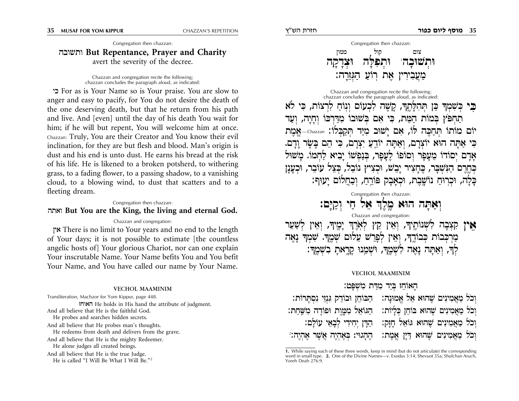**CHAZZAN'S REPETITION** 

## Congregation then chazzan: **But Repentance, Praver and Charity** ותשובה avert the severity of the decree.

Chazzan and congregation recite the following; chazzan concludes the paragraph aloud, as indicated:

י For as is Your Name so is Your praise. You are slow to anger and easy to pacify, for You do not desire the death of the one deserving death, but that he return from his path and live. And [even] until the day of his death You wait for him; if he will but repent, You will welcome him at once. Chazzan: Truly, You are their Creator and You know their evil inclination, for they are but flesh and blood. Man's origin is dust and his end is unto dust. He earns his bread at the risk of his life. He is likened to a broken potsherd, to withering grass, to a fading flower, to a passing shadow, to a vanishing cloud, to a blowing wind, to dust that scatters and to a fleeting dream.

#### Congregation then chazzan:

#### ואתה But You are the King, the living and eternal God.

#### Chazzan and congregation:

אין There is no limit to Your years and no end to the length of Your days; it is not possible to estimate [the countless angelic hosts of Your glorious Chariot, nor can one explain Your inscrutable Name. Your Name befits You and You befit Your Name, and You have called our name by Your Name.

#### VECHOL MAAMINIM

Transliteration, Machzor for Yom Kippur, page 448.

He holds in His hand the attribute of judgment. And all believe that He is the faithful God. He probes and searches hidden secrets.

And all believe that He probes man's thoughts. He redeems from death and delivers from the grave.

And all believe that He is the mighty Redeemer. He alone judges all created beings.

And all believe that He is the true Judge. He is called "I Will Be What I Will Be."<sup>2</sup>



Chazzan and congregation recite the following; chazzan concludes the paragraph aloud, as indicated:

תִּהְלַחֵךְ, קַשָּׁה לִכְעוֹם וְנוֹח לא צות, כי" 7D תחפץ במות המת, כי אם מדר בשובו פו וחיה, יוֹם מוֹתוֹ תּחכּה לוֹ, אם יֹשׁוּב מיד תּקבּלוֹ: Lchazzan כי אתה הוא יוצרם, ואתה יודע יצרם, הם כי לחמו. לעפר, בנפשו וסופו מעפר אדם יסודו כצל עוֹבר, כחציר יֵבִשׁ, וּכִצִיץ נוֹבֵל, כחרם הנשבר, בַּלֵה, וּכִרוּחַ נוֹשֵׁבֵת, וּכְאַבַק פּוֹרֵחַ, וִכַּחֲלוֹם יַעוּף:

## Congregation then chazzan: ואתה הוא

Chazzan and congregation:

ימיד, ואין לשנותיד, **175** קץ ◘ מרכבות כבודד, ואתה נאה לשמד, ושמנו קראת

#### **VECHOL MAAMINIM**

## האוחז ביד מדת

מאמינים שהוא אל וּבודק גּנזי נםתּרות: הבוחז אמוּנה: ממות ופודה משחת: הגואל שהוא בוחו כליות: מאמינים הַדַּן ּהַזַק 817 N באהיה אמת: שהוא מאמיוים אהיה: ההגוי:

<sup>1.</sup> While saying each of these three words, keep in mind (but do not articulate) the corresponding word in small type. 2. One of the Divine Names—v. Exodus 3:14; Shevuot 35a; Shulchan Aruch, Yoreh Deah 276:9.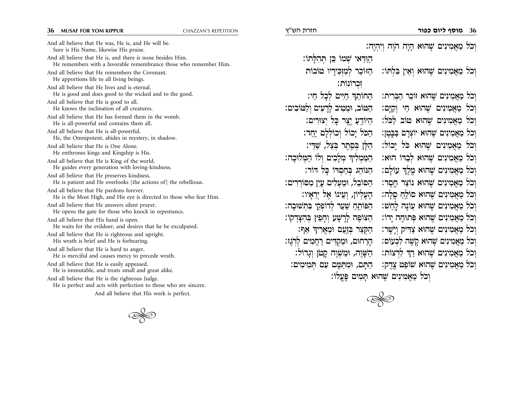#### **36 MUSAF FOR YOM KIPPUR**

| And all believe that He was, He is, and He will be.<br>Sure is His Name, likewise His praise.                                   |
|---------------------------------------------------------------------------------------------------------------------------------|
| And all believe that He is, and there is none besides Him.<br>He remembers with a favorable remembrance those who remember Him. |
| And all believe that He remembers the Covenant.<br>He apportions life to all living beings.                                     |
| And all believe that He lives and is eternal.<br>He is good and does good to the wicked and to the good.                        |
| And all believe that He is good to all.<br>He knows the inclination of all creatures.                                           |
| And all believe that He has formed them in the womb.<br>He is all-powerful and contains them all.                               |
| And all believe that He is all-powerful.<br>He, the Omnipotent, abides in mystery, in shadow.                                   |
| And all believe that He is One Alone.<br>He enthrones kings and Kingship is His.                                                |
| And all believe that He is King of the world.<br>He guides every generation with loving-kindness.                               |
| And all believe that He preserves kindness.<br>He is patient and He overlooks [the actions of] the rebellious.                  |
| And all believe that He pardons forever.<br>He is the Most High, and His eye is directed to those who fear Him.                 |
| And all believe that He answers silent prayer.<br>He opens the gate for those who knock in repentance.                          |
| And all believe that His hand is open.<br>He waits for the evildoer, and desires that he be exculpated.                         |
| And all believe that He is righteous and upright.<br>His wrath is brief and He is forbearing.                                   |
| And all believe that He is hard to anger.<br>He is merciful and causes mercy to precede wrath.                                  |
| And all believe that He is easily appeased.<br>He is immutable, and treats small and great alike.                               |
| And all believe that He is the righteous Judge.<br>He is perfect and acts with perfection to those who are sincere.             |
| And all believe that His work is perfect.                                                                                       |

וְכֹל מַאֲמִינִים שֶׁהוּא הָיָה הוֶה וְיִהְיֶה: הַוַּדַאי שָׁמוֹ בֵּן תִּהְלָתוֹ: הַזּוֹכֵר לִמֲזִכִּירָיו טוֹבוֹת וְכֹל מַאֲמִינִים שֶׁהוּא וְאֵין בִּלְתּוֹ: זִכְרוֹנוֹת: וְכֹל מַאֲמִינִים שֶׁהוּא זוֹכֵר הַבְּרִית: - הַחוֹתֵךְ הַיִּים לְכָל הַי: וִכֹל מַאֲמִינִים שֶׁהוּא חַי וְקַיָם: הַטּוֹב, וּמֵטִיב לָרָעִים וְלַטּוֹבִים: וְכֹל מַאֲמִינִים שֶׁהוּא טוֹב לַכֹּל: ּהַיֹּוֹדֵעַ יֶצֶר כָּל יְצוּרִים: ִהַכֹּל יְכוֹל וְכוֹלְלָם יָחֲד: וְכֹל מַאֲמִינִים שֶׁהוּא יוֹצְרָם בַּבְּטֶן: וְכֹל מַאֲמִינִים שֶׁהוּא כֹּל יָכוֹל: ּהַלָּן בְּםֵתֶר בְּצֵל, שֲדֵי: הַמַּמִלִּיךְ מִלָּבִים וְלוֹ הַמִּלוּבָה: וִכֹל מַאֲמִינִים שֱהוּא לִבַדּוֹ הוּא: ַ הַנּוֹהֵג בְּחַסְדּוֹ בָּל דּוֹר: וְכֹל מַאֲמִינִים שֶׁהוּא מֶלֶךְ עַוֹלָם: וְכֹל מַאֲמִינִים שֶׁהוּא נוֹצֵר חֱסֶד: הַסּוֹבֵל, וּמַעְלִים עֵיִן מִסּוֹרִרִים: וכל מַאֲמִינִים שֵׁהוּא סוֹלֵחַ םֵלָה: ּהָעֲלִיוֹן, וְעֵינוֹ אֵל יֵרְאָיו: הַפּוֹתֶהַ שַׁעַר לְדוֹפְקֵי בִּתְשׁוּבָה: וִכֹל מַאֲמִינִים שֶׁהוּא עְוֹנֶה לֶחֲשׁ: וְכֹל מַאֲמִינִים שֶׁהוּא פְּתוּחָה יָדוֹ: ּהַצּוֹפֶה לְרָשָׁע וְחָפִּץ בְּהִצְּדְקוֹ: ּהַקְּצַר בְּזַעַם וּמַאֲרִיךָ אַף׃ וְכֹל מַאֲמִינִים שֶׁהוּא צַדִּיק וְיָשָׁר: וְכֹל מַאֲמִינִים שֶׁהוּא קָשֶׁה לִכְעוֹם: הָרַחוּם, וּמַקְדִים רַחֲמִים לִרְגֶז: ַ הַשָּׁוֶה, וּמַשְׁוֶה קָטן וְנָדוֹל: וְכֹל מַאֲמִינִים שֶׁהוּא רַךְ לִרְצוֹת: וִכֹל מַאֲמִינִים שֶׁהוּא שׁוֹפֵּט צֶדֶק: הַתָּם, וּמִתַּמָּם עִם הְמִימִים: וְכֹל מַאֲמִינִים שֶׁהוּא תָּמִים פָּעֱלוֹ:

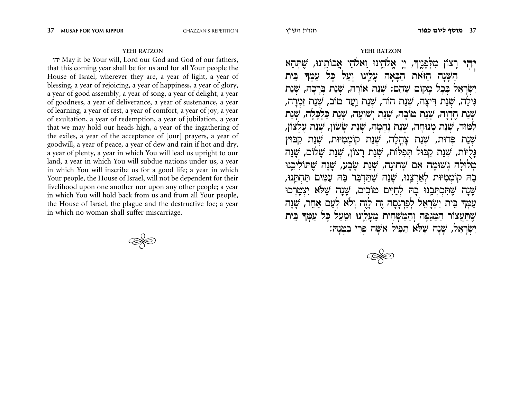#### YEHI RATZON

יהי May it be Your will, Lord our God and God of our fathers, that this coming year shall be for us and for all Your people the House of Israel, wherever they are, a year of light, a year of blessing, a year of rejoicing, a year of happiness, a year of glory, a year of good assembly, a year of song, a year of delight, a year of goodness, a year of deliverance, a year of sustenance, a year of learning, a year of rest, a year of comfort, a year of joy, a year of exultation, a year of redemption, a year of jubilation, a year that we may hold our heads high, a year of the ingathering of the exiles, a year of the acceptance of [our] prayers, a year of goodwill, a year of peace, a year of dew and rain if hot and dry, a vear of plenty, a year in which You will lead us upright to our land, a year in which You will subdue nations under us, a year in which You will inscribe us for a good life; a year in which Your people, the House of Israel, will not be dependent for their livelihood upon one another nor upon any other people; a year in which You will hold back from us and from all Your people, the House of Israel, the plague and the destructive foe; a year in which no woman shall suffer miscarriage.

#### YEHI RATZON אלהינוּ וַאלהֵי אֲבוֹתֵינוּ, שֵׁתְּהֵא  $\ddot{\mathbf{r}}$ רצוז עלינוּ עמד בּל ועל הבאה השנה היאת ישראל בכל שנת מקום שהם: שנת אורה, שנת ברכה, שנת דיצה, שנת הוֹד, שנת ועד טוֹב, שנת זמרה, שנת חדוה, שנת טוֹבה, שנת ישוּעה, שנת כּלכּלה, שנת למוּד, שנת מנוּחה, שנת נחמה, שנת ששׂוֹן, שנת צהלה, שנת קוממיות, פרות, שנת תפלות, שנת רצוׁו, שנת שלוֹם. שנת קבול שבע. שנת גשומה אם שחונה, שתרבר שנה לארצנו. הוממיות תחתנו,



שתכתבנו בה לחיים טובים,

המגפה והמשחית מעלינו

שנה שלא תפיל אשה פרי

ישראל

שלא

כל עמד בית

שנה

ומעל

לפרנסה זה לזה ולא לעם אחר, שנה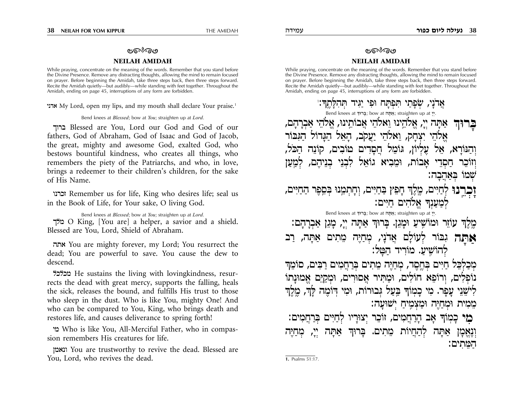#### ೕೱೋ

#### NEILAH AMIDAH

While praying, concentrate on the meaning of the words. Remember that you stand before the Divine Presence. Remove any distracting thoughts, allowing the mind to remain focused on prayer. Before beginning the Amidah, take three steps back, then three steps forward. Recite the Amidah quietly-but audibly-while standing with feet together. Throughout the Amidah, ending on page 45, interruptions of any form are forbidden.

אדני My Lord, open my lips, and my mouth shall declare Your praise.<sup>1</sup>

Bend knees at Blessed; bow at You; straighten up at Lord.

**Elessed are You, Lord our God and God of our** fathers, God of Abraham, God of Isaac and God of Jacob, the great, mighty and awesome God, exalted God, who bestows bountiful kindness, who creates all things, who remembers the piety of the Patriarchs, and who, in love, brings a redeemer to their children's children, for the sake of His Name.

וכרנו Remember us for life, King who desires life; seal us in the Book of Life, for Your sake, O living God.

Bend knees at *Blessed*; bow at You; straighten up at Lord. ם מ Blessed are You, Lord, Shield of Abraham.

אתה You are mighty forever, my Lord; You resurrect the dead; You are powerful to save. You cause the dew to descend.

He sustains the living with loving kindness, resurrects the dead with great mercy, supports the falling, heals the sick, releases the bound, and fulfills His trust to those who sleep in the dust. Who is like You, mighty One! And who can be compared to You, King, who brings death and restores life, and causes deliverance to spring forth!

מי Who is like You, All-Merciful Father, who in compassion remembers His creatures for life.

ונאמן You are trustworthy to revive the dead. Blessed are You, Lord, who revives the dead.

#### ೲೢೢೲ

#### **NEILAH AMIDAH**

While praying, concentrate on the meaning of the words. Remember that you stand before the Divine Presence. Remove any distracting thoughts, allowing the mind to remain focused on prayer. Before beginning the Amidah, take three steps back, then three steps forward. Recite the Amidah quietly—but audibly—while standing with feet together. Throughout the Amidah, ending on page 45, interruptions of any form are forbidden.

| אֲדֹנָי, שִׂפְּתַי תִּפְתָּח וּפִי יַגִּיד תְּהִלְחֱדְּ:י                                                                                     |
|-----------------------------------------------------------------------------------------------------------------------------------------------|
| Bend knees at בְּרוּד; bow at אֲתָּת; straighten up at $\sum_{i}$<br>בָרוּךְ אַתָּה יְיָ, אֱלֹהֵינוּ וֵאלֹהֵי אֲבוֹתֵינוּ, אֱלֹהֵי אַבְרָהָם, |
| אֱלֹהֵי יִצְחָק, וֵאלֹהֵי יַעֲקֹב, הָאֵל הַנָּדוֹל הַגִּבוֹר                                                                                  |
| וְהַנּוֹרָא, אֵל עֶלְיוֹן, גּוֹמֵל חֲסָדִים טוֹבִים, קוֹנֵה הַכֹּל,                                                                           |
| וְזוֹכֵר חַםְדֵי אָבוֹת, וּמֵבִיא גוֹאֵל לִבְנֵי בִנֵיהֶם, לִמֵעַן                                                                            |
| ֹשְׁמוֹ בְּאַהֲבָה:                                                                                                                           |
|                                                                                                                                               |
| <b>זָבְרֵנוּ</b> לְְחַיִּים, מֶלֶךְ חָפִּץ בַּחַיִּים, וְחָתְמֵנוּ בְּחֵפֶּר הַחַיִּים,                                                       |
| לִמַעֲנִךְ אֱלֹהִים חַיִּים:                                                                                                                  |
| Bend knees at בְּרוּדְ ; bow at אֲתָּה; straighten up at $\sum_{i}$ .                                                                         |
| מֶלֶךְ עוֹזֵר וּמוֹשִׁיעַ וּמְגֵן. בְּרוּךְ אַתָּה יְיָ, מָגֵן אַבְרָהָם:                                                                     |
| אתה גבור לְעוֹלָם אֲדֹנָי, מְחַיֶּה מֵתִים אַתָּה, רַב                                                                                        |
| לִהוֹשִׁיעַ. מוֹרִיד הַטָּל:                                                                                                                  |
| מִכַלִּבֵּל חַיִּים בִּחֱםֶד, מִחַיֶּה מֵתִים בִּרַחֲמִים רַבִּים, סוֹמֵךְ                                                                    |
| נוֹפִלִים, וִרוֹפֵא חוֹלִים, וּמַתִּיר אֲסוּרִים, וּמְקַיֵּם אֱמוּנָתוֹ                                                                       |
| לִישֵׁנֵי עָפָר. מִי כָמְוֹךָ בְּעַל גְּבוּרוֹת, וּמִי דְוֹמֶה לָךָ, מֶלֶךְ                                                                   |
| מֵמִית וּמְחַיֶּה וּמַצְמִיחַ יְשׁוּעָה:                                                                                                      |
| כִּי כְּמְוֹךְ אָב הָרַחֲמִים, זוֹכֵר יְצוּרָיו לְחַיִּים בְּרַחֲמִים:                                                                        |
| וְנֶאֱמֶן אַתָּה לְהַחֲיוֹת מֵתִים. בְּרוּךְ אַתָּה יְיָ, מְחַיֶּה                                                                            |
| המתים:                                                                                                                                        |

1. Psalms 51:17.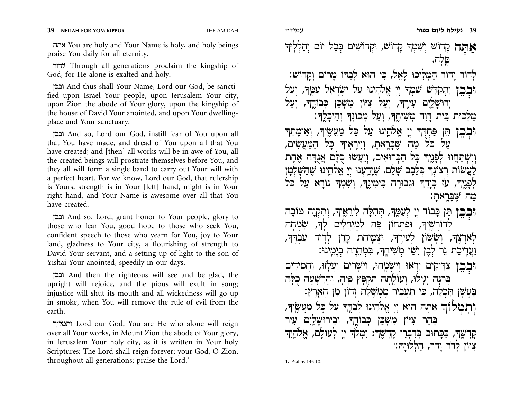39 **NEILAH FOR YOM KIPPUR**  עמידה

39 נעילה ליום כפור

אתה You are holy and Your Name is holy, and holy beings praise You daily for all eternity.

**EXALDED** Through all generations proclaim the kingship of God, for He alone is exalted and holy.

ובכן And thus shall Your Name, Lord our God, be sanctified upon Israel Your people, upon Jerusalem Your city, upon Zion the abode of Your glory, upon the kingship of the house of David Your anointed, and upon Your dwellingplace and Your sanctuary.

ובכן And so, Lord our God, instill fear of You upon all that You have made, and dread of You upon all that You have created; and [then] all works will be in awe of You, all the created beings will prostrate themselves before You, and they all will form a single band to carry out Your will with a perfect heart. For we know, Lord our God, that rulership is Yours, strength is in Your [left] hand, might is in Your right hand, and Your Name is awesome over all that You have created.

ובכן And so, Lord, grant honor to Your people, glory to those who fear You, good hope to those who seek You, confident speech to those who yearn for You, joy to Your land, gladness to Your city, a flourishing of strength to David Your servant, and a setting up of light to the son of Yishai Your anointed, speedily in our days.

ובכן And then the righteous will see and be glad, the upright will rejoice, and the pious will exult in song; injustice will shut its mouth and all wickedness will go up in smoke, when You will remove the rule of evil from the earth.

Ind our God, You are He who alone will reign over all Your works, in Mount Zion the abode of Your glory, in Jerusalem Your holy city, as it is written in Your holy Scriptures: The Lord shall reign forever; your God, O Zion, throughout all generations; praise the Lord.<sup>1</sup>

ִםֱלֶה.

לבדו מרום וקדוש: לדור ודור כי הוא לאל. המליכוּ אלהינו רנקז כבודד, משכן ועל ציון

ִמְשִׁיחֵדּ, וְעַל מִכוֹנְדְּ וְחֵיכָלֵדְ: מלכות בית דוד בַּל אלהינו על ٩٩ תן על המעשים, בל שבראת, מה בל כל הברואים, ויעשו כלם אגדה אחת לפניד יישתחוו שירענו שלם. אלהינוּ שהשלטו לעשות רצונד בלבב בי וּגִבוּרַה בידד :שבראת

ותקוה טובה ליראיד, לעמד, כבוד תהלה חז שמחה לדורשיך, לך, 'חלים פה ופתחוז עבדד, וצמיחת משיחד, במהרה ישי קבן וישמחו. וחםידים יראו ◘ D' צדיקי ברנה יגילו, ועוֹלתה תקפּץ פּיה,

מו ממשלת זדון תעביר תכלה, כי בעשו הארץ: אלהינוּ לבדד  $\frac{1}{2}$ אתה הוא ובירושלים כבודד, משכו בהר קדשׁך, ככתוּב בדברי קַרְשֵׁךּ: יִמְלִדְ ציון לדר ודר, הללויה: ֿ

1. Psalms 146:10.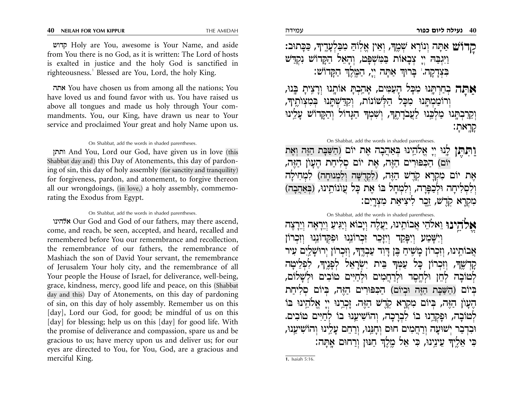קדוש Holy are You, awesome is Your Name, and aside from You there is no God, as it is written: The Lord of hosts is exalted in justice and the holy God is sanctified in righteousness.<sup>1</sup> Blessed are You, Lord, the holy King.

אתה You have chosen us from among all the nations; You have loved us and found favor with us. You have raised us above all tongues and made us holy through Your commandments. You, our King, have drawn us near to Your service and proclaimed Your great and holy Name upon us.

#### On Shabbat, add the words in shaded parentheses.

ותתן And You, Lord our God, have given us in love (this Shabbat day and) this Day of Atonements, this day of pardoning of sin, this day of holy assembly (for sanctity and tranquility) for forgiveness, pardon, and atonement, to forgive thereon all our wrongdoings, (in love,) a holy assembly, commemorating the Exodus from Egypt.

#### On Shabbat, add the words in shaded parentheses.

אלהינו Our God and God of our fathers, may there ascend, come, and reach, be seen, accepted, and heard, recalled and remembered before You our remembrance and recollection, the remembrance of our fathers, the remembrance of Mashiach the son of David Your servant, the remembrance of Jerusalem Your holy city, and the remembrance of all Your people the House of Israel, for deliverance, well-being, grace, kindness, mercy, good life and peace, on this (Shabbat day and this) Day of Atonements, on this day of pardoning of sin, on this day of holy assembly. Remember us on this [day], Lord our God, for good; be mindful of us on this [day] for blessing; help us on this [day] for good life. With the promise of deliverance and compassion, spare us and be gracious to us; have mercy upon us and deliver us; for our eyes are directed to You, for You, God, are a gracious and merciful King.

עמידה

מבלעדיד, ככתוּב: ואין אלוה אַתַּה וְנוֹרַא שְׁמֵךּ, קרוש במשפט, והאל הקדוש נקדש צבאות ייגבה בִּצְדָקָה.' בָּרוּךְ אַתָּה יֵי, הַמֵּלֵךְ הַקַּרוֹשׁ: העמים, אהבת אותנו ורצית בחרתנוּ <u> UUK</u> וקדשתנו במצותיד, הלשונות. ורוׄממתנוּ מכל הַנַּרוֹל והַקְרוֹשׁ 'קרבתנו לעברתד,

קַרֵאתַ:

On Shabbat, add the words in shaded parentheses. ۹۹ לנוּ (השבת הזה ואת את יום ותתן םליחת העון הזה, את יום יום) ים (לקדשה ולמנוחה) את למחי היה, X. בוֹ את כל עוֹנוֹתינוּ, (באהבה) ולמחל םליחה ולכפרה, מקרא קדש, זכר ליציאת מצרים:

On Shabbat, add the words in shaded parentheses.

ויבוא ויגיע אבותינו, וזכרוז ופקדונגו אבותינו, וזכרון משיח בן דוד וזכרוז עבדד, בי וזכרוז ולרחמים ולחיים טובי לטובה וכחםד לחן ביום הכפורים הזה, (הַשֲׁבַּת הַזֶּה וּביוֹם) קרש הזה. זכרנו בו מקרא ם' ביו הזה, בו לברכה, והושיענו בו לחיים טובים. לטובה, ופקדנוּ וּבְדִבָר יִשׁוּעַה וַרְחֲמִים חוּם וְחַנֵּוּ, וְרַחֵם עַלֵינוּ וְהוֹשִׁיעֵנוּ, כי אליד עינינו, כי אל מלד חנון ורחום אתה:

1. Isaiah 5:16.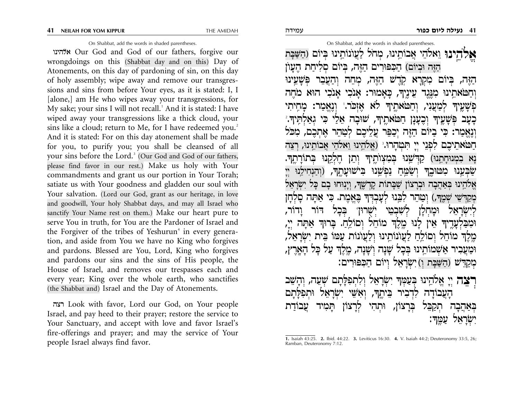On Shabbat, add the words in shaded parentheses.

אלהינו Our God and God of our fathers, forgive our wrongdoings on this (Shabbat day and on this) Day of Atonements, on this day of pardoning of sin, on this day of holy assembly; wipe away and remove our transgressions and sins from before Your eyes, as it is stated: I, I [alone,] am He who wipes away your transgressions, for My sake; your sins I will not recall.<sup>1</sup> And it is stated: I have wiped away your transgressions like a thick cloud, your sins like a cloud; return to Me, for I have redeemed you.<sup>2</sup> And it is stated: For on this day atonement shall be made for you, to purify you; you shall be cleansed of all your sins before the Lord.<sup>3</sup> (Our God and God of our fathers, please find favor in our rest.) Make us holy with Your commandments and grant us our portion in Your Torah; satiate us with Your goodness and gladden our soul with Your salvation. (Lord our God, grant as our heritage, in love and goodwill, Your holy Shabbat days, and may all Israel who sanctify Your Name rest on them.) Make our heart pure to serve You in truth, for You are the Pardoner of Israel and the Forgiver of the tribes of Yeshurun<sup>4</sup> in every generation, and aside from You we have no King who forgives and pardons. Blessed are You, Lord, King who forgives and pardons our sins and the sins of His people, the House of Israel, and removes our trespasses each and every year; King over the whole earth, who sanctifies (the Shabbat and) Israel and the Day of Atonements.

Look with favor, Lord our God, on Your people Israel, and pay heed to their prayer; restore the service to Your Sanctuary, and accept with love and favor Israel's fire-offerings and prayer; and may the service of Your people Israel always find favor.

עמידה

On Shabbat, add the words in shaded parentheses. דינו ואלהי אבותינו, מחל לעונותינו ביום (השבת הכפורים הזה, ביום סליחת העוז הזה וביום) מחה ביום . הזה, מקרא הזה, קד אנכי הוא מחה אנכי כאמור: וחטאתינו אוכר.' לא וחטאתיד מחיתי ונאמר: חמאתיך, שוּבה אלי אתכם. עליכם ביום הזה כטהר יכפר פי ייַ תִּטְהַרוּ. (אֱלֹהֵינוּ וֵאלֹהֵי אֲבוֹתִינוּ, רִצְה לפני חטאתיכם חלקנו בתורתד. במצותיד נא במנוּחתנוּ) ותז מטובד שבענו `והנחילנוּ ושמח שבתות קדשר, וינוחו בם וּברצוֹן באהבה לעבדד באמת. כי אתה סלחן לבנוּ וטהר דור מלד אתה ברוד וםולה. מוחל אין כנו לעונותינוּ ולעונות עמו בית ישראל. םולח שנה ושנה, על כל הארץ, מלד בכל אשמותינוּ השבת ו) ישראל ויום הכפור

ברצון, עבודת וּתה

<sup>1.</sup> Isaiah 43:25. 2. Ibid. 44:22. 3. Leviticus 16:30. 4. V. Isaiah 44:2; Deuteronomy 33:5, 26; Ramban, Deuteronomy 7:12.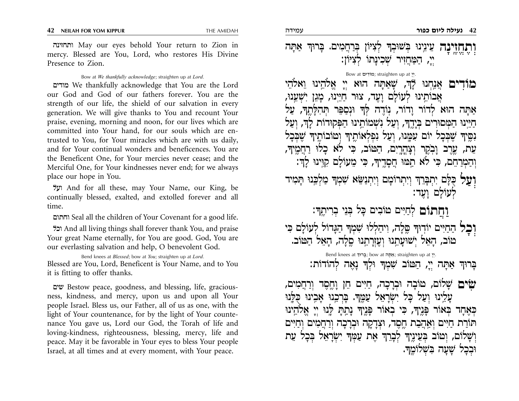ותחזינה May our eyes behold Your return to Zion in mercy. Blessed are You, Lord, who restores His Divine Presence to Zion.

Bow at We thankfully acknowledge; straighten up at Lord.

שורים We thankfully acknowledge that You are the Lord our God and God of our fathers forever. You are the strength of our life, the shield of our salvation in every generation. We will give thanks to You and recount Your praise, evening, morning and noon, for our lives which are committed into Your hand, for our souls which are entrusted to You, for Your miracles which are with us daily, and for Your continual wonders and beneficences. You are the Beneficent One, for Your mercies never cease; and the Merciful One, for Your kindnesses never end; for we always place our hope in You.

יעל And for all these, may Your Name, our King, be continually blessed, exalted, and extolled forever and all time.

וחתום Seal all the children of Your Covenant for a good life.

וכל And all living things shall forever thank You, and praise Your great Name eternally, for You are good. God, You are our everlasting salvation and help, O benevolent God.

Bend knees at *Blessed*; bow at *You*; straighten up at *Lord*. Blessed are You, Lord, Beneficent is Your Name, and to You it is fitting to offer thanks.

שים Bestow peace, goodness, and blessing, life, graciousness, kindness, and mercy, upon us and upon all Your people Israel. Bless us, our Father, all of us as one, with the light of Your countenance, for by the light of Your countenance You gave us, Lord our God, the Torah of life and loving-kindness, righteousness, blessing, mercy, life and peace. May it be favorable in Your eyes to bless Your people Israel, at all times and at every moment, with Your peace.

Bow at מודים; straighten up at ".

שאתה הוא 5ּד, מודים אנחנו אלהינו אבותינוּ לעוֹלַם וַעֲד, צוּר מגז חיינו, אתה הוא לדור ודור, נודה לך ונספר תהלתד, חַיֵּיְנוּ הַמְּסוּרִים בִּיָדֱךָ, וִעַל נִשְׁמוֹתֵינוּ הַפִּקוּדוֹת לַדְּ, עִמֲנוּ, וְעַל נִפְלְאוֹתֵיךְ וְטוֹבוֹתֵיךָ יום וְצָהֲרֵיִם, הַטּוֹב, כִּי לֹא כָלוּ רַחֲמִידָ, וַבְקֵר מעולם קוינוּ לדּ: לא תמוּ חַסְדֵיךּ, כִּי כי והמרחם, 'תברד ויתרומם ויתנשא שמד לעולם ועד:

לחיים טוֹבים וחתום בני בל וכל החיים יודוד סלה, ויהללו שמד הגדול לעולם טוב, הָאֵל יְשׁוּעָתֵנוּ וְעֶזְרָתֵנוּ סֶלָה, הָאֵל הַטּוֹב.

Bend knees at בְּרוּדָ; bow at אֶתָּה; straighten up at  $\gamma$ .

יֵי, הַטּוֹב שָׁמִךְ וּלְךְ נָאֵה לְהוֹדוֹת: אַתַּה ברוד

שים טונה ונרכה, שלום. ם' חיי כנו אבינו בל בר 7N'

לנו יי אלד באור פניד כי באור פניד, כאחד נתת תּורַת חַיִּים וִאֲהֵבַת חֵםֶד, וּצְדָקָה וּבִרָכָה וְרַחֲמִים שַׁלוֹם, וְטוֹב בְּעֵינֵיִךְ לִבְרֵךְ אֵת עַמְּךָ יְשָׂרָאֵל בְּבַל שעה בשלומד.

עמידה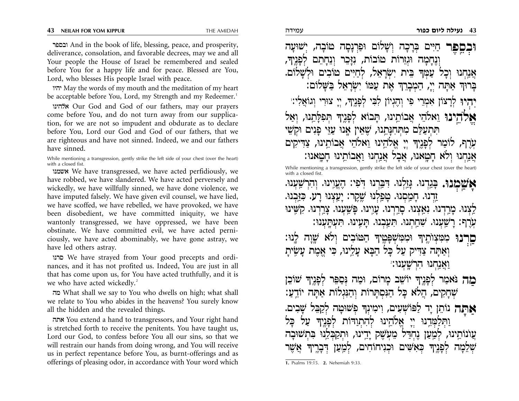ובספר And in the book of life, blessing, peace, and prosperity, deliverance, consolation, and favorable decrees, may we and all Your people the House of Israel be remembered and sealed before You for a happy life and for peace. Blessed are You, Lord, who blesses His people Israel with peace.

יהיו May the words of my mouth and the meditation of my heart be acceptable before You, Lord, my Strength and my Redeemer.<sup>1</sup>

אלהינו Our God and God of our fathers, may our prayers come before You, and do not turn away from our supplication, for we are not so impudent and obdurate as to declare before You, Lord our God and God of our fathers, that we are righteous and have not sinned. Indeed, we and our fathers have sinned.

While mentioning a transgression, gently strike the left side of your chest (over the heart) with a closed fist.

**We have transgressed, we have acted perfidiously, we** have robbed, we have slandered. We have acted perversely and wickedly, we have willfully sinned, we have done violence, we have imputed falsely. We have given evil counsel, we have lied, we have scoffed, we have rebelled, we have provoked, we have been disobedient, we have committed iniquity, we have wantonly transgressed, we have oppressed, we have been obstinate. We have committed evil, we have acted perniciously, we have acted abominably, we have gone astray, we have led others astray.

סרנו We have strayed from Your good precepts and ordinances, and it has not profited us. Indeed, You are just in all that has come upon us, for You have acted truthfully, and it is we who have acted wickedly.<sup>2</sup>

מה What shall we say to You who dwells on high; what shall we relate to You who abides in the heavens? You surely know all the hidden and the revealed things.

אתה You extend a hand to transgressors, and Your right hand is stretched forth to receive the penitents. You have taught us, Lord our God, to confess before You all our sins, so that we will restrain our hands from doing wrong, and You will receive us in perfect repentance before You, as burnt-offerings and as offerings of pleasing odor, in accordance with Your word which

ים חיים טוֹבוֹת, וגזרות ונחמה נזכר לחיים טובים ולשלום. בית אנחנוּ ישראל בשלום: עמו את המברד פרוף לִפְנֵיִךָּ, יִי צוּרִי וְגוֹאֱלִי:י פי לרצוׁו אמרי לבי והגיון אלהינו ואלהי אבותינו, תבוא לפניד הפלתנו. ואל תתעלם מתחנתנו, שאין אנוּ עזי פנים אבותינו. לִפְּנֵיךְ יִי אֵלהֵינוּ וֵאלהֵי לומר אַנַחְנוּ וְלֹא חַטֵּאנוּ, אֵכָל אֲנַחְנוּ וַאֲכוֹתֵינוּ חַטֵּאנוּ: While mentioning a transgression, gently strike the left side of your chest (over the heart) with a closed fist. דבו גולנו. בגדנו. טפלנוּ פיבנו. זרנוּ. חמסנוּ. שקר מרדנו. נאצנו. סררנו. עוינו. פשענו. נוּ. שחתנוּ. תּעבנוּ. תּעינוּ. חעתענו: שוה ולא המובים שפטיד כי אמת עשית כל הבא עלינו, ואתה צדיק ואנחנוּ הר יוֹשב מַרוֹם, וּמַה נִסְפֵּר שוכז מה נאמר רפניד כל הנסתרות והנגלות אתה הלא שחקים, פשוטה להבל שעים, וימינד אתה נותן להתודות אלהינו  $\mathbf{L}$ ותלמדנו ידינו. ותקבלנו בתשובה עונותינו, מעשק למען נחדל

כאשים וכניחוחים,

1. Psalms 19:15. 2. Nehemiah 9:33.

עמידה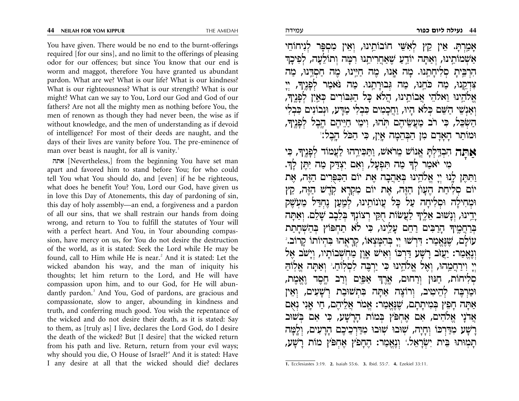You have given. There would be no end to the burnt-offerings required [for our sins], and no limit to the offerings of pleasing odor for our offences; but since You know that our end is worm and maggot, therefore You have granted us abundant pardon. What are we? What is our life? What is our kindness? What is our righteousness? What is our strength? What is our might? What can we say to You, Lord our God and God of our fathers? Are not all the mighty men as nothing before You, the men of renown as though they had never been, the wise as if without knowledge, and the men of understanding as if devoid of intelligence? For most of their deeds are naught, and the days of their lives are vanity before You. The pre-eminence of man over beast is naught, for all is vanity.<sup>1</sup>

אתה [Nevertheless,] from the beginning You have set man apart and favored him to stand before You; for who could tell You what You should do, and [even] if he be righteous, what does he benefit You? You, Lord our God, have given us in love this Day of Atonements, this day of pardoning of sin, this day of holy assembly—an end, a forgiveness and a pardon of all our sins, that we shall restrain our hands from doing wrong, and return to You to fulfill the statutes of Your will with a perfect heart. And You, in Your abounding compassion, have mercy on us, for You do not desire the destruction of the world, as it is stated: Seek the Lord while He may be found, call to Him while He is near.<sup>2</sup> And it is stated: Let the wicked abandon his way, and the man of iniquity his thoughts; let him return to the Lord, and He will have compassion upon him, and to our God, for He will abundantly pardon.<sup>3</sup> And You, God of pardons, are gracious and compassionate, slow to anger, abounding in kindness and truth, and conferring much good. You wish the repentance of the wicked and do not desire their death, as it is stated: Say to them, as [truly as] I live, declares the Lord God, do I desire the death of the wicked? But [I desire] that the wicked return from his path and live. Return, return from your evil ways; why should you die, O House of Israel?<sup>4</sup> And it is stated: Have I any desire at all that the wicked should die? declares

לניחוחי מספר ואין חוֹבוֹתינוּ, לאשי היו אין אמרת. אשמותינו, ואתה יודע שאחריתנו רמה ותולעה, לפיכד הרבית סליחתנו. מה אנו, מה חיינו, מה חסדנו, מה צַרקֵנוּ, מַה כֹּחֲנוּ, מֵה גִּבוּרְתְנוּ. מֵה נֹאמֵר לפניד, אלהינו ואלהי אבותינו, הלא כל הגבורים כאין הַשֵּׁם כִּלֹא הַיוּ, וַחֲכַמִים כִּבְלִי מַדֵּעַ, וּנִבוֹנים כּבלי רב מעשיהם תהו, וימי חייהם הבל לפניד, השכל. כי וּמוֹתַר הָאָדָם מִן הַבִּהֵמָה אֵיִן, כִּי הַכֹּל הַבִּל:'

אתה הבדלת אנוש מראש, ותכירהו לעמוד לפניד, כי מִי יֹאמַר לִךְ מָה תִּפְעַל, וְאָם יְצְדַק מַה יְתֵן לַךָּ. לֵנוּ יִיַ אֱלֹהֵינוּ בִּאֲהֵבָה אֶת יוֹם הַכִּפְּרִים הַזֶּה, ותתן יוֹם סַלִיחַת הַעֲוֹן הַזָּה, אֵת יוֹם מַקְרַא קֹדִשׁ הַזֶּה, וּמְחִילָה וּסְלִיחָה עַל בָּל עֲוֹנוֹתֵינוּ, לְמֵעַן נֶחְדַל מֵעְשֶׁק יִדֵינוּ, וְנַשׁוּב אֲלֵיִךְ לַעֲשׂוֹת חָקֵי רְצוֹנְךָ בְּלֵבָב שָׁלֵם. וְאַתָּה ּהַרַבִּים רַחֵם עַלֵינוּ, כִּי לא תַחְפּוֹץ בִּהֲשָׁחֲתַת שֶׁנֶּאֱמַר: דִּרְשׁוּ יְיָ בְּהִמָּצִאוֹ, קִרָאֲהוּ בִּהִיוֹתוֹ קַרוֹב. ־: יעזׂב רשׁע דרכּוֹ ואישׁ און מחשבוֹתיו, וישׂב אל וִירַחֲמֱהוּ, וְאֵל אֱלֹהֵינוּ כִּי יַרְבֵּה לִסְלוֹחַ. ּוֹאֲתַה אלוֹה ואמת, חסד ורב אפים סִלִיחוֹת, חַנּוּן וְרַחוּם, אֵרֵךְ לְהֵיטִיב, וְרוֹצֵה אֲתַּה בִּתְשׁוּבַת רשעים, ואין ומרבה ּחַפִּץ בִּמִיתַתַם, שֵׁנֵאֲמַר: אֵמר אֲלֵיהֵם, חי אני אהה כי אם אם אָחִפּץ בִּמוֹת הַרַשַׁע, אדני אלהים, מדרכו וחַיַה, שִׁוּבוּ שִׁוּבוּ מִדַּרְבִיבֶם הַרַעִים, וְלֵמֵה יִשְׁרָאֵל.' וְנֵאֵמַר: הֵחָפֹץ אֵחָפּץ מוֹת בית תמותו

<sup>1.</sup> Ecclesiastes 3:19. 2. Isaiah 55:6. 3. Ibid. 55:7. 4. Ezekiel 33:11.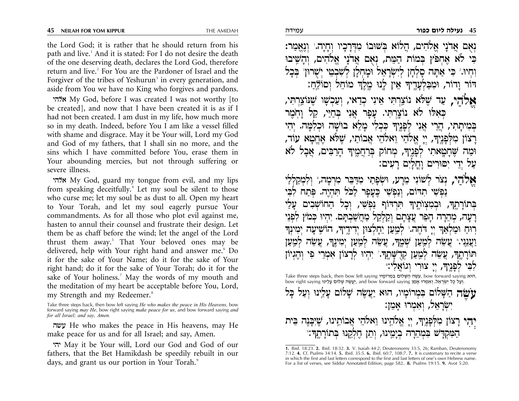the Lord God; it is rather that he should return from his path and live.<sup>1</sup> And it is stated: For I do not desire the death of the one deserving death, declares the Lord God, therefore return and live.<sup>2</sup> For You are the Pardoner of Israel and the Forgiver of the tribes of Yeshurun<sup>3</sup> in every generation, and aside from You we have no King who forgives and pardons.

אלהי My God, before I was created I was not worthy [to be created], and now that I have been created it is as if I had not been created. I am dust in my life, how much more so in my death. Indeed, before You I am like a vessel filled with shame and disgrace. May it be Your will, Lord my God and God of my fathers, that I shall sin no more, and the sins which I have committed before You, erase them in Your abounding mercies, but not through suffering or severe illness.

אלהי My God, guard my tongue from evil, and my lips from speaking deceitfully.<sup>4</sup> Let my soul be silent to those who curse me; let my soul be as dust to all. Open my heart to Your Torah, and let my soul eagerly pursue Your commandments. As for all those who plot evil against me, hasten to annul their counsel and frustrate their design. Let them be as chaff before the wind; let the angel of the Lord thrust them away.<sup>5</sup> That Your beloved ones may be delivered, help with Your right hand and answer me.<sup>6</sup> Do it for the sake of Your Name; do it for the sake of Your right hand; do it for the sake of Your Torah; do it for the sake of Your holiness.<sup>7</sup> May the words of my mouth and the meditation of my heart be acceptable before You, Lord, my Strength and my Redeemer.<sup>8</sup>

שה He who makes the peace in His heavens, may He make peace for us and for all Israel; and say, Amen.

יהי May it be Your will, Lord our God and God of our fathers, that the Bet Hamikdash be speedily rebuilt in our days, and grant us our portion in Your Torah.<sup>9</sup>

אלהים. נאם במות המה.  $v$ bux ומו םלחו אתה וחיו. וםוֹלָח: דור ודור, וּמִבַּלְעָדֵיךָ מלד אין מוחל לנוּ שלא נוצרתי איני עד טפר גוֹצרתי. לא כאלו אנ ככל במיתתי, שה אני הרי שלא אחטא עור, ואלהי אבותי, אלהי

הַרבּי

בִּרַחֲמֵיך מחוק ם' יפור D.

מר פתח תהיה. תדום. צותיד תרד מהרה הפו צתם ע יחלצו דחה: Ţ צורי

Take three steps back, then bow left saying געשה השלום במרומיו, bow forward saying bow right saying יעשה שלום עלינו, and bow forward saying און bow right saying עשראל,

# במהרה בימינו, ורו

Take three steps back, then bow left saying He who makes the peace in His Heavens, bow forward saying may He, bow right saying make peace for us, and bow forward saying and for all Israel; and say, Amen.

<sup>1.</sup> Ibid. 18:23. 2. Ibid. 18:32. 3. V. Isaiah 44:2; Deuteronomy 33:5, 26; Ramban, Deuteronomy 7:12. 4. Cf. Psalms 34:14. 5. Ibid. 35:5. 6. Ibid. 60:7, 108:7. 7. It is customary to recite a verse in which the first and last letters correspond to the first and last letters of one's own Hebrew name. For a list of verses, see Siddur Annotated Edition, page 582., 8. Psalms 19:15, 9. Avot 5:20.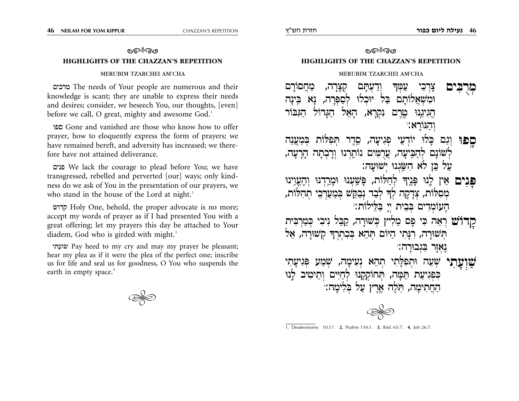חזרת הש״ץ

# ৽৽৽৽৽ **HIGHLIGHTS OF THE CHAZZAN'S REPETITION**

#### MERUBIM TZARCHEI AM'CHA

The needs of Your people are numerous and their knowledge is scant; they are unable to express their needs and desires; consider, we beseech You, our thoughts, [even] before we call, O great, mighty and awesome God.<sup>1</sup>

Gone and vanished are those who know how to offer prayer, how to eloquently express the form of prayers; we have remained bereft, and adversity has increased; we therefore have not attained deliverance.

We lack the courage to plead before You; we have transgressed, rebelled and perverted [our] ways; only kindness do we ask of You in the presentation of our prayers, we who stand in the house of the Lord at night.<sup>2</sup>

קדוש Holy One, behold, the proper advocate is no more; accept my words of prayer as if I had presented You with a great offering; let my prayers this day be attached to Your diadem, God who is girded with might.<sup>3</sup>

שועתי Pay heed to my cry and may my prayer be pleasant; hear my plea as if it were the plea of the perfect one; inscribe us for life and seal us for goodness, O You who suspends the earth in empty space.<sup>4</sup>



# ೲೢೢೲ **HIGHLIGHTS OF THE CHAZZAN'S REPETITION**

#### MERUBIM TZARCHEI AM'CHA

- מהסורם קצרה, X) ותם הגבור ול טרם הגר האל נקרא, הנורא:
- יגם ספו ורבתה חרנו □ לא השגנו ישועה: כז
- לחלות. פניד לנוּ פנים צדקה בלילות: העומדים בבית יי
- כשורה, מליץ ראה כּי פס תשורה. היום תהא בכתר 78 בגבור נאזר
- תהא ותיטיב כנו תחוקקנו כפגיעת תמה, החתימה, תְּלֵה אֵרֵץ על



<sup>1.</sup> Deuteronomy 10:17. 2. Psalms 134:1. 3. Ibid. 65:7. 4. Job 26:7.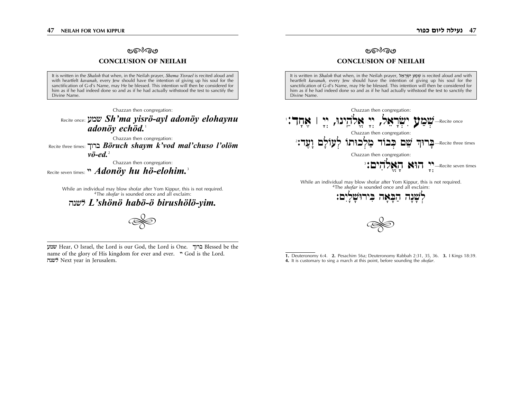#### ೲಀಀೲ

#### **NEILAH OF CONCLUSION**

sanctification of G-d's Name, may He be blessed. This intention will then be considered for<br>him as if he had-indeed done se and as if he had-actually withstead the test to sanctify the It is written in the *Shaloh* that when, in the Neilah prayer, *Shema Yisrael* is recited aloud and with heartfelt kavanah, every Jew should have the intention of giving up his soul for the him as if he had indeed done so and as if he had actually withstood the test to sanctify the Divine Name.

Chazzan then congregation:

*elohaynu adonöy ayl-yisrö ma'Sh* òîù :once Recite *.*<sup>1</sup>*echöd adonöy*

Chazzan then congregation: *olöm'l chuso'mal vod'k shaym Böruch* êåøá :times three Recite  $v\ddot{o}$ -ed.<sup>2</sup>

Chazzan then congregation:

**Recite seven times: "** Adonöy hu hö-elohim.<sup>3</sup>

While an individual may blow shofar after Yom Kippur, this is not required. <sup>4</sup>The *shofar* is sounded once and all exclaim:

*.yim-birushölö ö-habö shönö'L* äðùI



name of the glory of His kingdom for ever and ever. " God is the Lord. the be Blessed êåøá .One is Lord the ,God our is Lord the ,Israel <sup>O</sup> ,Hear òîù שנה Next year in Jerusalem.

#### ೲೋ

#### **NEILAH OF CONCLUSION**

sanctification of G-d's Name, may He be blessed. This intention will then be considered for<br>him as if he had-indeed done se and as if he had-actually withstead the test to sanctify the lt is written in *Shaloh* that when, in the Neilah prayer, שְׁרֵאֵל is recited aloud and with heartfelt kavanah, every Jew should have the intention of giving up his soul for the him as if he had indeed done so and as if he had actually withstood the test to sanctify the Divine Name.



While an individual may blow shofar after Yom Kippur, this is not required. <sup>4</sup>The *shofar* is sounded once and all exclaim:





**<sup>1.</sup>** Deuteronomy 6:4. **2.** Pesachim 56a; Deuteronomy Rabbah 2:31, 35, 36. **3.** I Kings 18:39.<br>4. It is customary to sing a march at this point, before sounding the *shefer* 

**<sup>4.</sup>** It is customary to sing a march at this point, before sounding the *shofar*.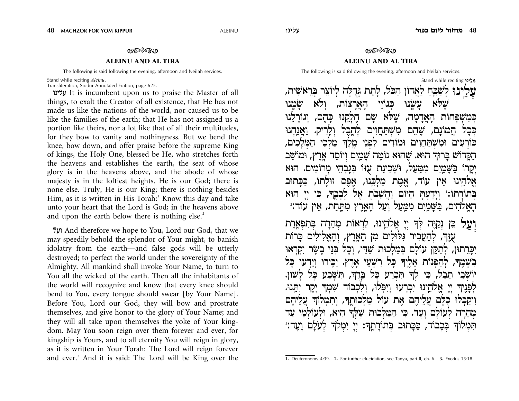#### ೲೋ

#### **ALEINU AND AL TIRA**

The following is said following the evening, afternoon and Neilah services.

Stand while reciting Aleinu.

Transliteration, Siddur Annotated Edition, page 625.

ילינו It is incumbent upon us to praise the Master of all things, to exalt the Creator of all existence, that He has not made us like the nations of the world, nor caused us to be like the families of the earth; that He has not assigned us a portion like theirs, nor a lot like that of all their multitudes, for they bow to vanity and nothingness. But we bend the knee, bow down, and offer praise before the supreme King of kings, the Holy One, blessed be He, who stretches forth the heavens and establishes the earth, the seat of whose glory is in the heavens above, and the abode of whose majesty is in the loftiest heights. He is our God; there is none else. Truly, He is our King; there is nothing besides Him, as it is written in His Torah:<sup>1</sup> Know this day and take unto your heart that the Lord is God; in the heavens above and upon the earth below there is nothing else.<sup>2</sup>

ועל And therefore we hope to You, Lord our God, that we may speedily behold the splendor of Your might, to banish idolatry from the earth—and false gods will be utterly destroyed; to perfect the world under the sovereignty of the Almighty. All mankind shall invoke Your Name, to turn to You all the wicked of the earth. Then all the inhabitants of the world will recognize and know that every knee should bend to You, every tongue should swear [by Your Name]. Before You, Lord our God, they will bow and prostrate themselves, and give honor to the glory of Your Name; and they will all take upon themselves the yoke of Your kingdom. May You soon reign over them forever and ever, for kingship is Yours, and to all eternity You will reign in glory, as it is written in Your Torah: The Lord will reign forever and ever.<sup>3</sup> And it is said: The Lord will be King over the

#### ೲೢೢೲ

#### ALEINU AND AL TIRA

The following is said following the evening, afternoon and Neilah services.

. עלינו Stand while reciting הכי הארצות. כמשפחות הארמה, כהם, שם שלא משתחוים המונם, שהם לפני ומודים ומשתחוים ברוד הוא. שהוא נוטה שמים ויוסד ארץ, ומושב הקד ושכינת עזו בגבהי מרומים. הוא אפם זולתו, ככתוב מלכנו, אמת יִי הוא כֵי וַהֲשֶׁבתַ אֵל לִבְבֵךּ,  $\Box$ ּעֲל הָאֲרֵץ מִתֲחַת, אֵין עַוֹד׃ האלד לראות מהרה בתפארת אלהינו,  $\ddot{ }$ לְד כו נקוּה הארץ, כרות והאלילים מן ď בני וכל שד לכות במ עולם יכרתוּז, יכירו כל ופנות בר כל תכרט ויפלו. יכר אלהינו מלכוּתדּ, ותמלוד עול עליהם את כלם יקבל כי ועד. המלכות כם ' מהרה ככתוב בתורתֱד:

<sup>1.</sup> Deuteronomy 4:39. 2. For further elucidation, see Tanya, part II, ch. 6. 3. Exodus 15:18.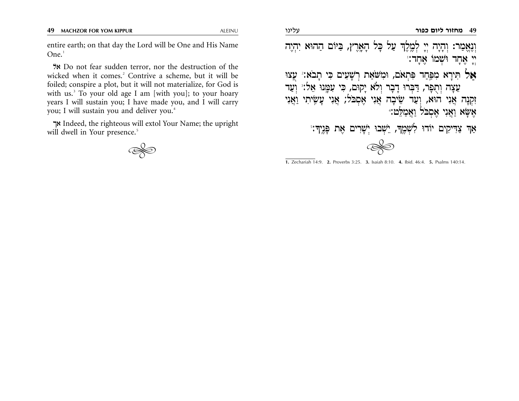49 **MACHZOR FOR YOM KIPPUR**  עלינו

entire earth; on that day the Lord will be One and His Name One.<sup>1</sup>

5N Do not fear sudden terror, nor the destruction of the wicked when it comes.<sup>2</sup> Contrive a scheme, but it will be foiled; conspire a plot, but it will not materialize, for God is with us.<sup>3</sup> To your old age I am [with you]; to your hoary years I will sustain you; I have made you, and I will carry you; I will sustain you and deliver you.<sup>4</sup>

אך Indeed, the righteous will extol Your Name; the upright will dwell in Your presence.<sup>5</sup>



| וְנָאֱמַר: וְהָיָה יְיָ לְמֶלֶךְ עַל בָּל הָאֱרֶץ, בַּיּוֹם הַהוּא יִהְיֶה |
|----------------------------------------------------------------------------|
| יֵי אֶחָד וּשָׁמוֹ אֵחֲד׃                                                  |
| אַל תִּירָא מִפְּחַד פִּתְאֹם, וּמִשׁׂאַת רִשָּׁעִים כִּי תָבֹא: עָצוּ     |
| עֵצָה וְתֻפָּר, דַבְרוּ דָבָר וְלֹא יָקוּם, כִּי עִמֱנוּ אֵל: וְעַד        |
| זִקְנָה אֲנִי הוּא, וְעַד שֵׂיבָה אֲנִי אֶםְבֹּל; אֲנִי עָשְׂיתִי וַאֲנִי  |
| אֶשָּׂא וַאֲנִי אֶסְבֹּל וַאֲמַלֵּט: '                                     |
| אַךְ צַדִּיקִים יוֹדוּ <i>לְשָׁמֶךָ, יֵשְׁבוּ יְשָׁרִים אֶת פָּנֶי</i> ךָ: |



1. Zechariah 14:9. 2. Proverbs 3:25. 3. Isaiah 8:10. 4. Ibid. 46:4. 5. Psalms 140:14.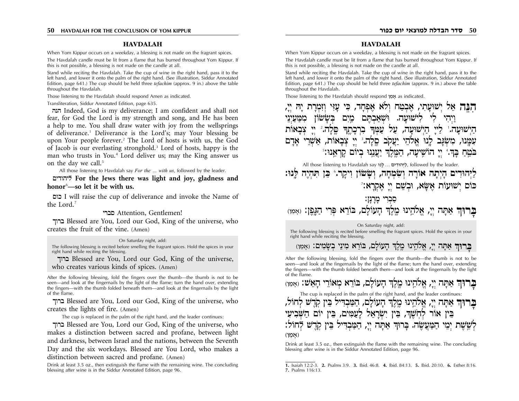#### 50 **HAVDALAH FOR THE CONCLUSION OF YOM KIPPUR**

#### סדר הבדלה למוצאי יום כפור 50

#### **HAVDALAH**

When Yom Kippur occurs on a weekday, a blessing is not made on the fragrant spices.

The Havdalah candle must be lit from a flame that has burned throughout Yom Kippur. If this is not possible, a blessing is not made on the candle at all.

Stand while reciting the Havdalah. Take the cup of wine in the right hand, pass it to the left hand, and lower it onto the palm of the right hand. (See illustration, Siddur Annotated Edition, page 641.) The cup should be held three *tefachim* (approx. 9 in.) above the table throughout the Havdalah.

Those listening to the Haydalah should respond Amen as indicated.

Transliteration, Siddur Annotated Edition, page 635.

הנה Indeed, God is my deliverance; I am confident and shall not fear, for God the Lord is my strength and song, and He has been a help to me. You shall draw water with joy from the wellsprings of deliverance.<sup>1</sup> Deliverance is the Lord's; may Your blessing be upon Your people forever.<sup>2</sup> The Lord of hosts is with us, the God of Jacob is our everlasting stronghold.<sup>3</sup> Lord of hosts, happy is the man who trusts in You.<sup>4</sup> Lord deliver us; may the King answer us on the day we call.<sup>5</sup>

All those listening to Havdalah say For the ... with us, followed by the leader.

יהודים For the Jews there was light and joy, gladness and honor $6$ —so let it be with us.

I will raise the cup of deliverance and invoke the Name of the Lord.

Attention, Gentlemen!

ברוך Blessed are You, Lord our God, King of the universe, who creates the fruit of the vine. (Amen)

#### On Saturday night, add:

The following blessing is recited before smelling the fragrant spices. Hold the spices in your right hand while reciting the blessing.

**Elessed are You, Lord our God, King of the universe,** who creates various kinds of spices. (Amen)

After the following blessing, fold the fingers over the thumb—the thumb is not to be seen—and look at the fingernails by the light of the flame; turn the hand over, extending the fingers—with the thumb folded beneath them—and look at the fingernails by the light of the flame.

ברוך Blessed are You, Lord our God, King of the universe, who creates the lights of fire. (Amen)

The cup is replaced in the palm of the right hand, and the leader continues:

**Elessed are You, Lord our God, King of the universe, who** makes a distinction between sacred and profane, between light and darkness, between Israel and the nations, between the Seventh Day and the six workdays. Blessed are You Lord, who makes a distinction between sacred and profane. (Amen)

Drink at least 3.5 oz., then extinguish the flame with the remaining wine. The concluding blessing after wine is in the Siddur Annotated Edition, page 96.

#### **HAVDALAH**

When Yom Kippur occurs on a weekday, a blessing is not made on the fragrant spices.

The Havdalah candle must be lit from a flame that has burned throughout Yom Kippur. If this is not possible, a blessing is not made on the candle at all.

Stand while reciting the Havdalah. Take the cup of wine in the right hand, pass it to the left hand, and lower it onto the palm of the right hand. (See illustration, Siddur Annotated Edition, page 641.) The cup should be held three *tefachim* (approx. 9 in.) above the table throughout the Havdalah.

Those listening to the Havdalah should respond אמו as indicated.

הנה אל 0

All those listening to Havdalah say לְיָהוּדִים... לֵנוּ followed by the leader.

וּבשם ת אשא.

בורא פרי הגפן: (אַמֵן)

#### On Saturday night, add:

The following blessing is recited before smelling the fragrant spices. Hold the spices in your right hand while reciting the blessing.

ברוּךְ אתה יי, אלהינוּ מלך העולם, בורא מיני

After the following blessing, fold the fingers over the thumb—the thumb is not to be seen—and look at the fingernails by the light of the flame; turn the hand over, extending the fingers—with the thumb folded beneath them—and look at the fingernails by the light of the flame.

כרוּךְ אַתָּה יֵי, אֱלהֵינוּ מֵלֵךְ הַעוֹלַם, בּוֹרֵא מַאוֹרי האשׁ: וֹאמוֹ

The cup is replaced in the palm of the right hand, and the leader continues

אתה ביו אור ברוד (אמן)

Drink at least 3.5 oz., then extinguish the flame with the remaining wine. The concluding blessing after wine is in the Siddur Annotated Edition, page 96.

<sup>1.</sup> Isaiah 12:2-3. 2. Psalms 3:9. 3. Ibid. 46:8. 4. Ibid. 84:13. 5. Ibid. 20:10. 6. Esther 8:16. 7. Psalms 116:13.